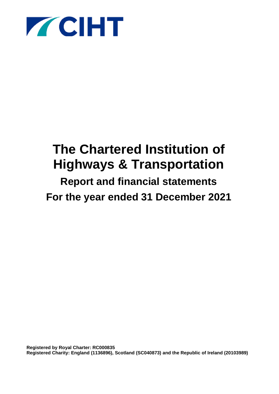

# **The Chartered Institution of Highways & Transportation**

# **Report and financial statements For the year ended 31 December 2021**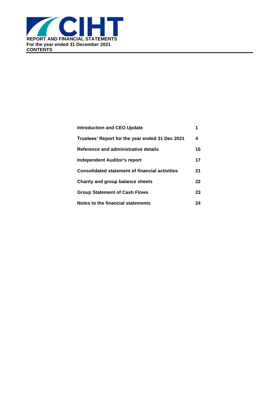

| <b>Introduction and CEO Update</b>                    |    |
|-------------------------------------------------------|----|
| Trustees' Report for the year ended 31 Dec 2021       | 4  |
| Reference and administrative details                  | 15 |
| Independent Auditor's report                          | 17 |
| <b>Consolidated statement of financial activities</b> | 21 |
| Charity and group balance sheets                      | 22 |
| <b>Group Statement of Cash Flows</b>                  | 23 |
| Notes to the financial statements                     | 24 |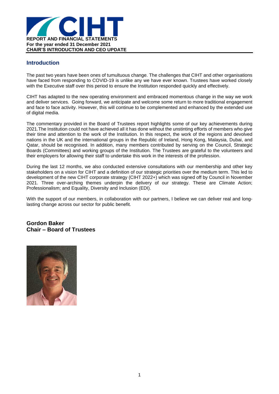

### **Introduction**

The past two years have been ones of tumultuous change. The challenges that CIHT and other organisations have faced from responding to COVID-19 is unlike any we have ever known. Trustees have worked closely with the Executive staff over this period to ensure the Institution responded quickly and effectively.

CIHT has adapted to the new operating environment and embraced momentous change in the way we work and deliver services. Going forward, we anticipate and welcome some return to more traditional engagement and face to face activity. However, this will continue to be complemented and enhanced by the extended use of digital media.

The commentary provided in the Board of Trustees report highlights some of our key achievements during 2021.The Institution could not have achieved all it has done without the unstinting efforts of members who give their time and attention to the work of the Institution. In this respect, the work of the regions and devolved nations in the UK and the international groups in the Republic of Ireland, Hong Kong, Malaysia, Dubai, and Qatar, should be recognised. In addition, many members contributed by serving on the Council, Strategic Boards (Committees) and working groups of the Institution. The Trustees are grateful to the volunteers and their employers for allowing their staff to undertake this work in the interests of the profession.

During the last 12 months, we also conducted extensive consultations with our membership and other key stakeholders on a vision for CIHT and a definition of our strategic priorities over the medium term. This led to development of the new CIHT corporate strategy (CIHT 2022+) which was signed off by Council in November 2021. Three over-arching themes underpin the delivery of our strategy. These are Climate Action; Professionalism; and Equality, Diversity and Inclusion (EDI).

With the support of our members, in collaboration with our partners, I believe we can deliver real and longlasting change across our sector for public benefit.

### **Gordon Baker Chair – Board of Trustees**

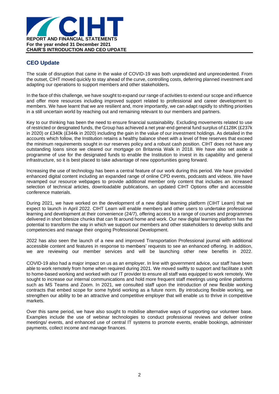

### **CEO Update**

The scale of disruption that came in the wake of COVID-19 was both unpredicted and unprecedented. From the outset, CIHT moved quickly to stay ahead of the curve, controlling costs, deferring planned investment and adapting our operations to support members and other stakeholders**.**

In the face of this challenge, we have sought to expand our range of activities to extend our scope and influence and offer more resources including improved support related to professional and career development to members. We have learnt that we are resilient and, more importantly, we can adapt rapidly to shifting priorities in a still uncertain world by reaching out and remaining relevant to our members and partners.

Key to our thinking has been the need to ensure financial sustainability. Excluding movements related to use of restricted or designated funds, the Group has achieved a net year-end general fund surplus of £128K (£237k in 2020) or £340k (£344k in 2020) including the gain in the value of our investment holdings. As detailed in the accounts which follow, the Institution retains a healthy balance sheet with a level of free reserves that exceed the minimum requirements sought in our reserves policy and a robust cash position. CIHT does not have any outstanding loans since we cleared our mortgage on Britannia Walk in 2018. We have also set aside a programme of use for the designated funds to enable the Institution to invest in its capability and general infrastructure, so it is best placed to take advantage of new opportunities going forward.

Increasing the use of technology has been a central feature of our work during this period. We have provided enhanced digital content including an expanded range of online CPD events, podcasts and videos. We have revamped our resource webpages to provide additional member only content that includes an increased selection of technical articles, downloadable publications, an updated CIHT Options offer and accessible conference materials.

During 2021, we have worked on the development of a new digital learning platform (CIHT Learn) that we expect to launch in April 2022. CIHT Learn will enable members and other users to undertake professional learning and development at their convenience (24/7), offering access to a range of courses and programmes delivered in short bitesize chunks that can fit around home and work. Our new digital learning platform has the potential to transform the way in which we support our members and other stakeholders to develop skills and competencies and manage their ongoing Professional Development.

2022 has also seen the launch of a new and improved Transportation Professional journal with additional accessible content and features in response to members' requests to see an enhanced offering. In addition, we are reviewing our member services and will be launching other new benefits in 2022.

COVID-19 also had a major impact on us as an employer. In line with government advice, our staff have been able to work remotely from home when required during 2021. We moved swiftly to support and facilitate a shift to home-based working and worked with our IT provider to ensure all staff was equipped to work remotely. We sought to increase our internal communications and hold more frequent staff meetings using online platforms such as MS Teams and Zoom. In 2021, we consulted staff upon the introduction of new flexible working contracts that embed scope for some hybrid working as a future norm. By introducing flexible working, we strengthen our ability to be an attractive and competitive employer that will enable us to thrive in competitive markets.

Over this same period, we have also sought to mobilise alternative ways of supporting our volunteer base. Examples include the use of webinar technologies to conduct professional reviews and deliver online meetings/ events, and enhanced use of central IT systems to promote events, enable bookings, administer payments, collect income and manage finances.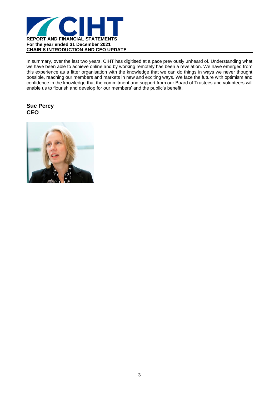

In summary, over the last two years, CIHT has digitised at a pace previously unheard of. Understanding what we have been able to achieve online and by working remotely has been a revelation. We have emerged from this experience as a fitter organisation with the knowledge that we can do things in ways we never thought possible, reaching our members and markets in new and exciting ways. We face the future with optimism and confidence in the knowledge that the commitment and support from our Board of Trustees and volunteers will enable us to flourish and develop for our members' and the public's benefit.

### **Sue Percy CEO**

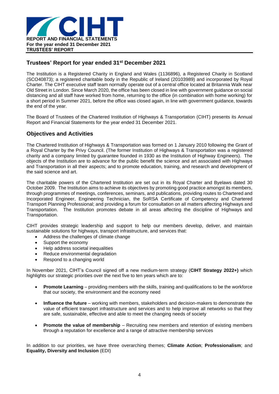

### **Trustees' Report for year ended 31st December 2021**

The Institution is a Registered Charity in England and Wales (1136896), a Registered Charity in Scotland (SCO40873); a registered charitable body in the Republic of Ireland (20103989) and incorporated by Royal Charter. The CIHT executive staff team normally operate out of a central office located at Britannia Walk near Old Street in London. Since March 2020, the office has been closed in line with government guidance on social distancing and all staff have worked from home, returning to the office (in combination with home working) for a short period in Summer 2021, before the office was closed again, in line with government guidance, towards the end of the year.

The Board of Trustees of the Chartered Institution of Highways & Transportation (CIHT) presents its Annual Report and Financial Statements for the year ended 31 December 2021.

### **Objectives and Activities**

The Chartered Institution of Highways & Transportation was formed on 1 January 2010 following the Grant of a Royal Charter by the Privy Council. (The former Institution of Highways & Transportation was a registered charity and a company limited by guarantee founded in 1930 as the Institution of Highway Engineers). The objects of the Institution are to advance for the public benefit the science and art associated with Highways and Transportation in all their aspects; and to promote education, training, and research and development of the said science and art.

The charitable powers of the Chartered Institution are set out in its Royal Charter and Byelaws dated 30 October 2009. The Institution aims to achieve its objectives by promoting good practice amongst its members, through programmes of meetings, conferences, seminars, and publications, providing routes to Chartered and Incorporated Engineer, Engineering Technician, the SoRSA Certificate of Competency and Chartered Transport Planning Professional; and providing a forum for consultation on all matters affecting Highways and Transportation. The Institution promotes debate in all areas affecting the discipline of Highways and Transportation.

CIHT provides strategic leadership and support to help our members develop, deliver, and maintain sustainable solutions for highways, transport infrastructure, and services that:

- Address the challenges of climate change
- Support the economy
- Help address societal inequalities
- Reduce environmental degradation
- Respond to a changing world

In November 2021, CIHT's Council signed off a new medium-term strategy (**CIHT Strategy 2022+)** which highlights our strategic priorities over the next five to ten years which are to:

- **Promote Learning** providing members with the skills, training and qualifications to be the workforce that our society, the environment and the economy need
- **Influence the future** working with members, stakeholders and decision-makers to demonstrate the value of efficient transport infrastructure and services and to help improve all networks so that they are safe, sustainable, effective and able to meet the changing needs of society
- **Promote the value of membership** Recruiting new members and retention of existing members through a reputation for excellence and a range of attractive membership services

In addition to our priorities, we have three overarching themes; **Climate Action**; **Professionalism**; and **Equality, Diversity and Inclusion** (EDI)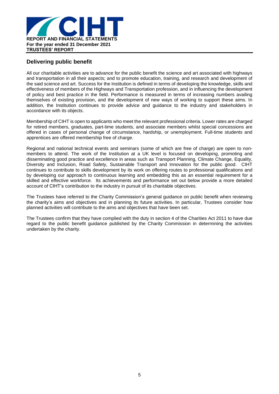

### **Delivering public benefit**

All our charitable activities are to advance for the public benefit the science and art associated with highways and transportation in all their aspects; and to promote education, training, and research and development of the said science and art. Success for the Institution is defined in terms of developing the knowledge, skills and effectiveness of members of the Highways and Transportation profession, and in influencing the development of policy and best practice in the field. Performance is measured in terms of increasing numbers availing themselves of existing provision, and the development of new ways of working to support these aims. In addition, the Institution continues to provide advice and guidance to the industry and stakeholders in accordance with its objects.

Membership of CIHT is open to applicants who meet the relevant professional criteria. Lower rates are charged for retired members, graduates, part-time students, and associate members whilst special concessions are offered in cases of personal change of circumstance, hardship, or unemployment. Full-time students and apprentices are offered membership free of charge.

Regional and national technical events and seminars (some of which are free of charge) are open to nonmembers to attend. The work of the Institution at a UK level is focused on developing, promoting and disseminating good practice and excellence in areas such as Transport Planning, Climate Change, Equality, Diversity and Inclusion, Road Safety, Sustainable Transport and Innovation for the public good. CIHT continues to contribute to skills development by its work on offering routes to professional qualifications and by developing our approach to continuous learning and embedding this as an essential requirement for a skilled and effective workforce. Its achievements and performance set out below provide a more detailed account of CIHT's contribution to the industry in pursuit of its charitable objectives.

The Trustees have referred to the Charity Commission's general guidance on public benefit when reviewing the charity's aims and objectives and in planning its future activities. In particular, Trustees consider how planned activities will contribute to the aims and objectives that have been set.

The Trustees confirm that they have complied with the duty in section 4 of the Charities Act 2011 to have due regard to the public benefit guidance published by the Charity Commission in determining the activities undertaken by the charity.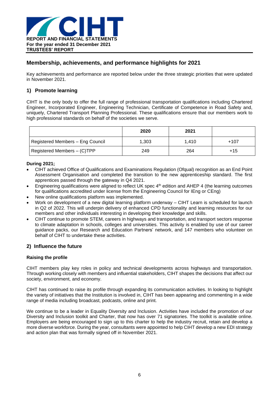

### **Membership, achievements, and performance highlights for 2021**

Key achievements and performance are reported below under the three strategic priorities that were updated in November 2021.

### **1) Promote learning**

CIHT is the only body to offer the full range of professional transportation qualifications including Chartered Engineer, Incorporated Engineer, Engineering Technician, Certificate of Competence in Road Safety and, uniquely, Chartered Transport Planning Professional. These qualifications ensure that our members work to high professional standards on behalf of the societies we serve.

|                                  | 2020  | 2021  |       |
|----------------------------------|-------|-------|-------|
| Registered Members - Eng Council | 1,303 | 1.410 | +107  |
| Registered Members - (C)TPP      | 249   | 264   | $+15$ |

### **During 2021;**

- CIHT achieved Office of Qualifications and Examinations Regulation (Ofqual) recognition as an End Point Assessment Organisation and completed the transition to the new apprenticeship standard. The first apprentices passed through the gateway in Q4 2021.
- Engineering qualifications were aligned to reflect UK spec 4<sup>th</sup> edition and AHEP 4 (the learning outcomes for qualifications accredited under license from the Engineering Council for IEng or CEng)
- New online qualifications platform was implemented.
- Work on development of a new digital learning platform underway CIHT Learn is scheduled for launch in Q2 of 2022. This will underpin delivery of enhanced CPD functionality and learning resources for our members and other individuals interesting in developing their knowledge and skills.
- CIHT continue to promote STEM, careers in highways and transportation, and transport sectors response to climate adaptation in schools, colleges and universities. This activity is enabled by use of our career guidance packs, our Research and Education Partners' network, and 147 members who volunteer on behalf of CIHT to undertake these activities.

### **2) Influence the future**

### **Raising the profile**

CIHT members play key roles in policy and technical developments across highways and transportation. Through working closely with members and influential stakeholders, CIHT shapes the decisions that affect our society, environment, and economy.

CIHT has continued to raise its profile through expanding its communication activities. In looking to highlight the variety of initiatives that the Institution is involved in, CIHT has been appearing and commenting in a wide range of media including broadcast, podcasts, online and print.

We continue to be a leader in Equality Diversity and Inclusion. Activities have included the promotion of our Diversity and Inclusion toolkit and Charter, that now has over 71 signatories. The toolkit is available online. Employers are being encouraged to sign up to this charter to help the industry recruit, retain and develop a more diverse workforce. During the year, consultants were appointed to help CIHT develop a new EDI strategy and action plan that was formally signed off in November 2021.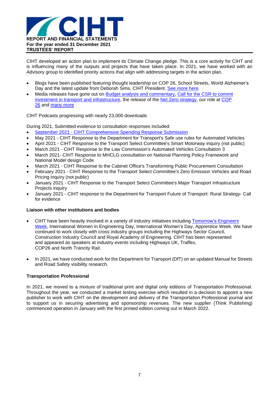

CIHT developed an action plan to implement its Climate Change pledge. This is a core activity for CIHT and is influencing many of the outputs and projects that have taken place. In 2021, we have worked with an Advisory group to identified priority actions that align with addressing targets in the action plan.

- Blogs have been published featuring thought leadership on COP 26, School Streets, World Alzheimer's Day and the latest update from Deborah Sims, CIHT President. See [more](https://www.ciht.org.uk/blogs) here.
- Media releases have gone out on **Budget analysis and commentary**, Call for the CSR to [commit](https://www.ciht.org.uk/news/call-for-comprehensve-spending-review-to-invest-in-highways-and-transportation/) investment in transport and [infrastructure,](https://www.ciht.org.uk/news/call-for-comprehensve-spending-review-to-invest-in-highways-and-transportation/) the release of the Net Zero [strategy,](https://www.ciht.org.uk/news/the-government-has-unveiled-its-groundbreaking-net-zero-strategy/) our role at [COP](https://www.ciht.org.uk/news/cop-26-working-towards-net-zero/) [26](https://www.ciht.org.uk/news/cop-26-working-towards-net-zero/) and [many](https://www.ciht.org.uk/news/) more

CIHT Podcasts progressing with nearly 23,000 downloads

During 2021, Submitted evidence to consultation responses included:

- September 2021 CIHT [Comprehensive](https://www.ciht.org.uk/media/15095/september-2021-ciht-comprehensive-spending-response-submission.pdf) Spending Response Submission
- May 2021 CIHT Response to the Department for Transport's Safe use rules for Automated Vehicles
- April 2021 CIHT Response to the Transport Select Committee's Smart Motorway inquiry (not public)
- March 2021 CIHT Response to the Law [Commission's](https://www.ciht.org.uk/media/14450/ciht-av-regulatory-review-3.pdf) Automated Vehicles Consultation 3
- March 2021- CIHT Response to MHCLG consultation on National Planning Policy Framework and National Model design Code
- March 2021 CIHT Response to the Cabinet Office's Transforming Public Procurement Consultation
- February 2021 CIHT Response to the Transport Select Committee's Zero Emission Vehicles and Road Pricing inquiry (not public)
- January 2021 CIHT Response to the Transport Select Committee's Major Transport Infrastructure Projects inquiry
- January 2021 CIHT response to the Department for Transport Future of Transport: Rural Strategy- Call for evidence

#### **Liaison with other institutions and bodies**

- CIHT have been heavily involved in a variety of industry initiatives including [Tomorrow's](https://www.tomorrowsengineers.org.uk/tomorrow-s-engineers-week/) Engineers [Week,](https://www.tomorrowsengineers.org.uk/tomorrow-s-engineers-week/) International Women in Engineering Day, International Women's Day, Apprentice Week. We have continued to work closely with cross industry groups including the Highways Sector Council, Construction Industry Council and Royal Academy of Engineering. CIHT has been represented and appeared as speakers at industry events including Highways UK, Traffex, COP26 and North Trancity Rail.
- In 2021, we have conducted work for the Department for Transport (DfT) on an updated Manual for Streets and Road Safety visibility research.

### **Transportation Professional**

In 2021, we moved to a mixture of traditional print and digital only editions of Transportation Professional. Throughout the year, we conducted a market testing exercise which resulted in a decision to appoint a new publisher to work with CIHT on the development and delivery of the Transportation Professional journal and to support us in securing advertising and sponsorship revenues. The new supplier (Think Publishing) commenced operation in January with the first printed edition coming out in March 2022.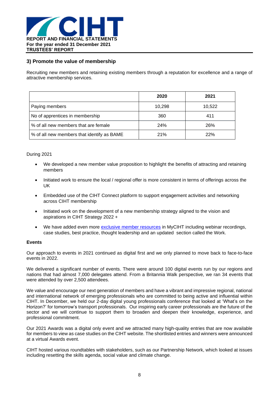

### **3) Promote the value of membership**

Recruiting new members and retaining existing members through a reputation for excellence and a range of attractive membership services.

|                                            | 2020   | 2021   |
|--------------------------------------------|--------|--------|
| Paying members                             | 10,298 | 10,522 |
| No of apprentices in membership            | 360    | 411    |
| % of all new members that are female       | 24%    | 26%    |
| % of all new members that identify as BAME | 21%    | 22%    |

### During 2021

- We developed a new member value proposition to highlight the benefits of attracting and retaining members
- Initiated work to ensure the local / regional offer is more consistent in terms of offerings across the UK
- Embedded use of the CIHT Connect platform to support engagement activities and networking across CIHT membership
- Initiated work on the development of a new membership strategy aligned to the vision and aspirations in CIHT Strategy 2022 +
- We have added even more exclusive member [resources](https://www.ciht.org.uk/members-area/resources/) in MyCIHT including webinar recordings, case studies, best practice, thought leadership and an updated section called the Work.

### **Events**

Our approach to events in 2021 continued as digital first and we only planned to move back to face-to-face events in 2022.

We delivered a significant number of events. There were around 100 digital events run by our regions and nations that had almost 7,000 delegates attend. From a Britannia Walk perspective, we ran 34 events that were attended by over 2,500 attendees.

We value and encourage our next generation of members and have a vibrant and impressive regional, national and international network of emerging professionals who are committed to being active and influential within CIHT. In December, we held our 2-day digital young professionals conference that looked at 'What's on the Horizon?' for tomorrow's transport professionals. Our inspiring early career professionals are the future of the sector and we will continue to support them to broaden and deepen their knowledge, experience, and professional commitment.

Our 2021 Awards was a digital only event and we attracted many high-quality entries that are now available for members to view as case studies on the CIHT website. The shortlisted entries and winners were announced at a virtual Awards event.

CIHT hosted various roundtables with stakeholders, such as our Partnership Network, which looked at issues including resetting the skills agenda, social value and climate change.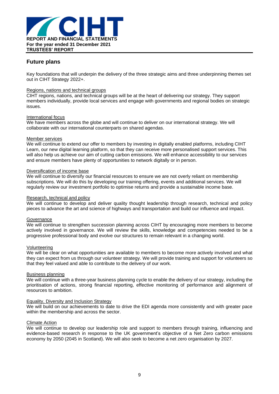

### **Future plans**

Key foundations that will underpin the delivery of the three strategic aims and three underpinning themes set out in CIHT Strategy 2022+.

#### Regions, nations and technical groups

CIHT regions, nations, and technical groups will be at the heart of delivering our strategy. They support members individually, provide local services and engage with governments and regional bodies on strategic issues.

#### International focus

We have members across the globe and will continue to deliver on our international strategy. We will collaborate with our international counterparts on shared agendas.

#### Member services

We will continue to extend our offer to members by investing in digitally enabled platforms, including CIHT Learn, our new digital learning platform, so that they can receive more personalised support services. This will also help us achieve our aim of cutting carbon emissions. We will enhance accessibility to our services and ensure members have plenty of opportunities to network digitally or in person.

#### Diversification of income base

We will continue to diversify our financial resources to ensure we are not overly reliant on membership subscriptions. We will do this by developing our training offering, events and additional services. We will regularly review our investment portfolio to optimise returns and provide a sustainable income base.

#### Research, technical and policy

We will continue to develop and deliver quality thought leadership through research, technical and policy pieces to advance the art and science of highways and transportation and build our influence and impact.

#### **Governance**

We will continue to strengthen succession planning across CIHT by encouraging more members to become actively involved in governance. We will review the skills, knowledge and competencies needed to be a progressive professional body and evolve our structures to remain relevant in a changing world.

#### Volunteering

We will be clear on what opportunities are available to members to become more actively involved and what they can expect from us through our volunteer strategy. We will provide training and support for volunteers so that they feel valued and able to contribute to the delivery of our work.

#### Business planning

We will continue with a three-year business planning cycle to enable the delivery of our strategy, including the prioritisation of actions, strong financial reporting, effective monitoring of performance and alignment of resources to ambition.

#### Equality, Diversity and Inclusion Strategy

We will build on our achievements to date to drive the EDI agenda more consistently and with greater pace within the membership and across the sector.

#### Climate Action

We will continue to develop our leadership role and support to members through training, influencing and evidence-based research in response to the UK government's objective of a Net Zero carbon emissions economy by 2050 (2045 in Scotland). We will also seek to become a net zero organisation by 2027.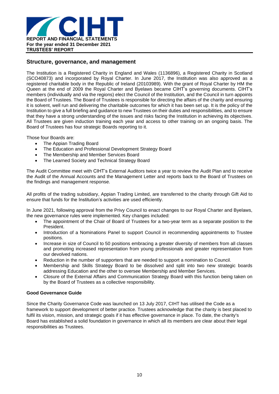

### **Structure, governance, and management**

The Institution is a Registered Charity in England and Wales (1136896), a Registered Charity in Scotland (SCO40873) and incorporated by Royal Charter. In June 2017, the Institution was also approved as a registered charitable body in the Republic of Ireland (20103989). With the grant of Royal Charter by HM the Queen at the end of 2009 the Royal Charter and Byelaws became CIHT's governing documents. CIHT's members (individually and via the regions) elect the Council of the Institution, and the Council in turn appoints the Board of Trustees. The Board of Trustees is responsible for directing the affairs of the charity and ensuring it is solvent, well run and delivering the charitable outcomes for which it has been set up. It is the policy of the Institution to give a full briefing and guidance to new Trustees on their duties and responsibilities, and to ensure that they have a strong understanding of the issues and risks facing the Institution in achieving its objectives. All Trustees are given induction training each year and access to other training on an ongoing basis. The Board of Trustees has four strategic Boards reporting to it.

Those four Boards are:

- The Appian Trading Board
- The Education and Professional Development Strategy Board
- The Membership and Member Services Board
- The Learned Society and Technical Strategy Board

The Audit Committee meet with CIHT's External Auditors twice a year to review the Audit Plan and to receive the Audit of the Annual Accounts and the Management Letter and reports back to the Board of Trustees on the findings and management response.

All profits of the trading subsidiary, Appian Trading Limited, are transferred to the charity through Gift Aid to ensure that funds for the Institution's activities are used efficiently.

In June 2021, following approval from the Privy Council to enact changes to our Royal Charter and Byelaws, the new governance rules were implemented. Key changes included:

- The appointment of the Chair of Board of Trustees for a two-year term as a separate position to the President.
- Introduction of a Nominations Panel to support Council in recommending appointments to Trustee positions.
- Increase in size of Council to 50 positions embracing a greater diversity of members from all classes and promoting increased representation from young professionals and greater representation from our devolved nations.
- Reduction in the number of supporters that are needed to support a nomination to Council.
- Membership and Skills Strategy Board to be dissolved and split into two new strategic boards addressing Education and the other to oversee Membership and Member Services.
- Closure of the External Affairs and Communication Strategy Board with this function being taken on by the Board of Trustees as a collective responsibility.

### **Good Governance Guide**

Since the Charity Governance Code was launched on 13 July 2017, CIHT has utilised the Code as a framework to support development of better practice. Trustees acknowledge that the charity is best placed to fulfil its vision, mission, and strategic goals if it has effective governance in place. To date, the charity's Board has established a solid foundation in governance in which all its members are clear about their legal responsibilities as Trustees.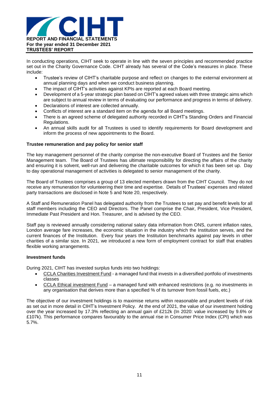

In conducting operations, CIHT seek to operate in line with the seven principles and recommended practice set out in the Charity Governance Code. CIHT already has several of the Code's measures in place. These include:

- Trustee's review of CIHT's charitable purpose and reflect on changes to the external environment at annual planning days and when we conduct business planning.
- The impact of CIHT's activities against KPIs are reported at each Board meeting.
- Development of a 5-year strategic plan based on CIHT's agreed values with three strategic aims which are subject to annual review in terms of evaluating our performance and progress in terms of delivery.
- Declarations of interest are collected annually.
- Conflicts of interest are a standard item on the agenda for all Board meetings.
- There is an agreed scheme of delegated authority recorded in CIHT's Standing Orders and Financial Regulations.
- An annual skills audit for all Trustees is used to identify requirements for Board development and inform the process of new appointments to the Board.

#### **Trustee remuneration and pay policy for senior staff**

The key management personnel of the charity comprise the non-executive Board of Trustees and the Senior Management team. The Board of Trustees has ultimate responsibility for directing the affairs of the charity and ensuring it is solvent, well-run and delivering the charitable outcomes for which it has been set up. Day to day operational management of activities is delegated to senior management of the charity.

The Board of Trustees comprises a group of 13 elected members drawn from the CIHT Council. They do not receive any remuneration for volunteering their time and expertise. Details of Trustees' expenses and related party transactions are disclosed in Note 5 and Note 20, respectively.

A Staff and Remuneration Panel has delegated authority from the Trustees to set pay and benefit levels for all staff members including the CEO and Directors. The Panel comprise the Chair, President, Vice President, Immediate Past President and Hon. Treasurer, and is advised by the CEO.

Staff pay is reviewed annually considering national salary data information from ONS, current inflation rates, London average fare increases, the economic situation in the industry which the Institution serves, and the current finances of the Institution. Every four years the Institution benchmarks against pay levels in other charities of a similar size. In 2021, we introduced a new form of employment contract for staff that enables flexible working arrangements.

#### **Investment funds**

During 2021, CIHT has invested surplus funds into two holdings:

- CCLA Charities Investment Fund a managed fund that invests in a diversified portfolio of investments classes
- CCLA Ethical investment Fund a managed fund with enhanced restrictions (e.g. no investments in any organisation that derives more than a specified % of its turnover from fossil fuels, etc.)

The objective of our investment holdings is to maximise returns within reasonable and prudent levels of risk as set out in more detail in CIHT's Investment Policy. At the end of 2021, the value of our investment holding over the year increased by 17.3% reflecting an annual gain of £212k (In 2020: value increased by 9.6% or £107k). This performance compares favourably to the annual rise in Consumer Price Index (CPI) which was 5.7%.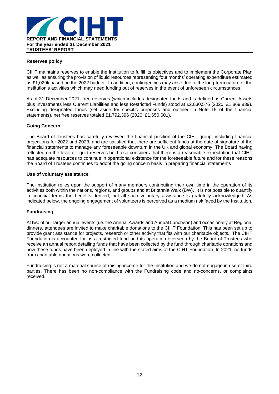

### **Reserves policy**

CIHT maintains reserves to enable the Institution to fulfill its objectives and to implement the Corporate Plan as well as ensuring the provision of liquid resources representing four months' operating expenditure estimated as £1,029k based on the 2022 budget. In addition, contingencies may arise due to the long-term nature of the Institution's activities which may need funding out of reserves in the event of unforeseen circumstances.

As of 31 December 2021, free reserves (which includes designated funds and is defined as Current Assets plus Investments less Current Liabilities and less Restricted Funds) stood at £2,030,576 (2020: £1,869,839). Excluding designated funds (set aside for specific purposes and outlined in Note 15 of the financial statements), net free reserves totaled £1,792,396 (2020: £1,650,601).

### **Going Concern**

The Board of Trustees has carefully reviewed the financial position of the CIHT group, including financial projections for 2022 and 2023, and are satisfied that there are sufficient funds at the date of signature of the financial statements to manage any foreseeable downturn in the UK and global economy. The Board having reflected on the level of liquid reserves held also considers that there is a reasonable expectation that CIHT has adequate resources to continue in operational existence for the foreseeable future and for these reasons the Board of Trustees continues to adopt the going concern basis in preparing financial statements

#### **Use of voluntary assistance**

The Institution relies upon the support of many members contributing their own time in the operation of its activities both within the nations, regions, and groups and at Britannia Walk (BW). It is not possible to quantify in financial terms the benefits derived, but all such voluntary assistance is gratefully acknowledged. As indicated below, the ongoing engagement of volunteers is perceived as a medium risk faced by the Institution.

### **Fundraising**

At two of our larger annual events (i.e. the Annual Awards and Annual Luncheon) and occasionally at Regional dinners, attendees are invited to make charitable donations to the CIHT Foundation. This has been set up to provide grant assistance for projects, research or other activity that fits with our charitable objects. The CIHT Foundation is accounted for as a restricted fund and its operation overseen by the Board of Trustees who receive an annual report detailing funds that have been collected by the fund through charitable donations and how these funds have been deployed in line with the stated aims of the CIHT Foundation. In 2021, no funds from charitable donations were collected.

Fundraising is not a material source of raising income for the Institution and we do not engage in use of third parties. There has been no non-compliance with the Fundraising code and no-concerns, or complaints received.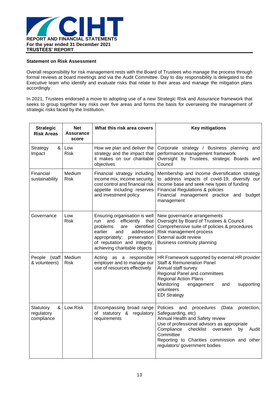

### **Statement on Risk Assessment**

Overall responsibility for risk management rests with the Board of Trustees who manage the process through formal reviews at board meetings and via the Audit Committee. Day to day responsibility is delegated to the Executive team who identify and evaluate risks that relate to their areas and manage the mitigation plans accordingly.

In 2021, Trustees endorsed a move to adopting use of a new Strategic Risk and Assurance framework that seeks to group together key risks over five areas and forms the basis for overseeing the management of strategic risks faced by the Institution.

| <b>Strategic</b><br><b>Risk Areas</b>        | <b>Net</b><br>Assurance<br>score | What this risk area covers                                                                                                                                                                                                           | <b>Key mitigations</b>                                                                                                                                                                                                                                                                                           |
|----------------------------------------------|----------------------------------|--------------------------------------------------------------------------------------------------------------------------------------------------------------------------------------------------------------------------------------|------------------------------------------------------------------------------------------------------------------------------------------------------------------------------------------------------------------------------------------------------------------------------------------------------------------|
| & ା<br>Strategy<br>Impact                    | Low<br><b>Risk</b>               | How we plan and deliver the<br>strategy and the impact that<br>it makes on our charitable<br>objectives                                                                                                                              | Corporate strategy / Business planning and<br>performance management framework<br>Oversight by Trustees, strategic Boards and<br>Council                                                                                                                                                                         |
| Financial<br>sustainability                  | Medium<br><b>Risk</b>            | Financial strategy including<br>income mix, income security,<br>cost control and financial risk<br>appetite including reserves<br>and investment policy                                                                              | Membership and income diversification strategy<br>to address impacts of covid-19, diversify our<br>income base and seek new types of funding<br><b>Financial Regulations &amp; policies</b><br>Financial management practice and budget<br>management                                                            |
| Governance                                   | Low<br><b>Risk</b>               | Ensuring organisation is well<br>and<br>efficiently<br>that<br>run<br>identified<br>problems<br>are<br>earlier<br>and<br>addressed<br>appropriately;<br>preservation<br>of reputation and integrity;<br>achieving charitable objects | New governance arrangements<br>Oversight by Board of Trustees & Council<br>Comprehensive suite of policies & procedures<br>Risk management process<br>External audit review<br>Business continuity planning                                                                                                      |
| People (staff)<br>& volunteers)              | Medium<br><b>Risk</b>            | as a responsible<br>Acting<br>employer and to manage our<br>use of resources effectively                                                                                                                                             | HR Framework supported by external HR provider<br><b>Staff &amp; Remuneration Panel</b><br>Annual staff survey<br>Regional Panel and committees<br><b>Regional Action Plans</b><br>Monitoring<br>supporting<br>engagement<br>and<br>volunteers<br><b>EDI Strategy</b>                                            |
| Statutory<br>& ।<br>regulatory<br>compliance | Low Risk                         | Encompassing broad range<br>of statutory & regulatory<br>requirements                                                                                                                                                                | Policies<br>(Data<br>and<br>procedures<br>protection,<br>Safeguarding, etc)<br>Annual Health and Safety review<br>Use of professional advisors as appropriate<br>Compliance<br>checklist<br>overseen<br>by<br>Audit<br>Committee<br>Reporting to Charities commission and other<br>regulators/ government bodies |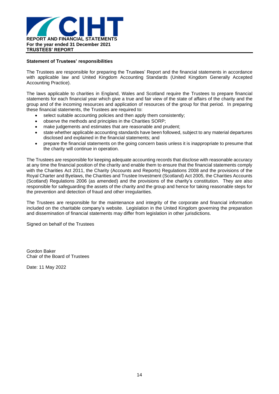

### **Statement of Trustees' responsibilities**

The Trustees are responsible for preparing the Trustees' Report and the financial statements in accordance with applicable law and United Kingdom Accounting Standards (United Kingdom Generally Accepted Accounting Practice).

The laws applicable to charities in England, Wales and Scotland require the Trustees to prepare financial statements for each financial year which give a true and fair view of the state of affairs of the charity and the group and of the incoming resources and application of resources of the group for that period. In preparing these financial statements, the Trustees are required to:

- select suitable accounting policies and then apply them consistently;
- observe the methods and principles in the Charities SORP;
- make judgements and estimates that are reasonable and prudent;
- state whether applicable accounting standards have been followed, subject to any material departures disclosed and explained in the financial statements; and
- prepare the financial statements on the going concern basis unless it is inappropriate to presume that the charity will continue in operation.

The Trustees are responsible for keeping adequate accounting records that disclose with reasonable accuracy at any time the financial position of the charity and enable them to ensure that the financial statements comply with the Charities Act 2011, the Charity (Accounts and Reports) Regulations 2008 and the provisions of the Royal Charter and Byelaws, the Charities and Trustee Investment (Scotland) Act 2005, the Charities Accounts (Scotland) Regulations 2006 (as amended) and the provisions of the charity's constitution. They are also responsible for safeguarding the assets of the charity and the group and hence for taking reasonable steps for the prevention and detection of fraud and other irregularities.

The Trustees are responsible for the maintenance and integrity of the corporate and financial information included on the charitable company's website. Legislation in the United Kingdom governing the preparation and dissemination of financial statements may differ from legislation in other jurisdictions.

Signed on behalf of the Trustees

Gordon Baker Chair of the Board of Trustees

Date: 11 May 2022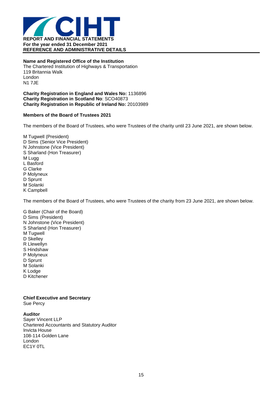

**Name and Registered Office of the Institution** The Chartered Institution of Highways & Transportation 119 Britannia Walk London N1 7JE

**Charity Registration in England and Wales No:** 1136896 **Charity Registration in Scotland No**: SCO40873 **Charity Registration in Republic of Ireland No:** 20103989

### **Members of the Board of Trustees 2021**

The members of the Board of Trustees, who were Trustees of the charity until 23 June 2021, are shown below.

M Tugwell (President) D Sims (Senior Vice President) N Johnstone (Vice President) S Sharland (Hon Treasurer) M Lugg L Basford G Clarke P Molyneux D Sprunt M Solanki K Campbell

The members of the Board of Trustees, who were Trustees of the charity from 23 June 2021, are shown below.

G Baker (Chair of the Board) D Sims (President) N Johnstone (Vice President) S Sharland (Hon Treasurer) M Tugwell D Skelley R Llewellyn S Hindshaw P Molyneux D Sprunt M Solanki K Lodge D Kitchener

### **Chief Executive and Secretary**

Sue Percy

**Auditor** Sayer Vincent LLP Chartered Accountants and Statutory Auditor Invicta House 108-114 Golden Lane London EC1Y 0TL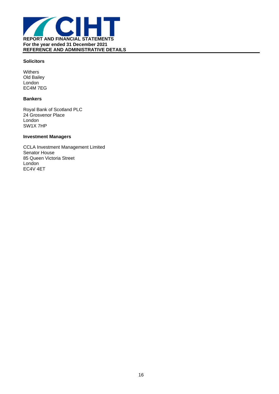

### **Solicitors**

**Withers** Old Bailey London EC4M 7EG

### **Bankers**

Royal Bank of Scotland PLC 24 Grosvenor Place London SW1X 7HP

### **Investment Managers**

CCLA Investment Management Limited Senator House 85 Queen Victoria Street London EC4V 4ET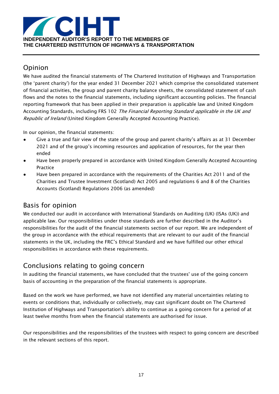

# Opinion

We have audited the financial statements of The Chartered Institution of Highways and Transportation (the 'parent charity') for the year ended 31 December 2021 which comprise the consolidated statement of financial activities, the group and parent charity balance sheets, the consolidated statement of cash flows and the notes to the financial statements, including significant accounting policies. The financial reporting framework that has been applied in their preparation is applicable law and United Kingdom Accounting Standards, including FRS 102 The Financial Reporting Standard applicable in the UK and Republic of Ireland (United Kingdom Generally Accepted Accounting Practice).

In our opinion, the financial statements:

- Give a true and fair view of the state of the group and parent charity's affairs as at 31 December 2021 and of the group's incoming resources and application of resources, for the year then ended
- Have been properly prepared in accordance with United Kingdom Generally Accepted Accounting Practice
- Have been prepared in accordance with the requirements of the Charities Act 2011 and of the Charities and Trustee Investment (Scotland) Act 2005 and regulations 6 and 8 of the Charities Accounts (Scotland) Regulations 2006 (as amended)

# Basis for opinion

We conducted our audit in accordance with International Standards on Auditing (UK) (ISAs (UK)) and applicable law. Our responsibilities under those standards are further described in the Auditor's responsibilities for the audit of the financial statements section of our report. We are independent of the group in accordance with the ethical requirements that are relevant to our audit of the financial statements in the UK, including the FRC's Ethical Standard and we have fulfilled our other ethical responsibilities in accordance with these requirements.

# Conclusions relating to going concern

In auditing the financial statements, we have concluded that the trustees' use of the going concern basis of accounting in the preparation of the financial statements is appropriate.

Based on the work we have performed, we have not identified any material uncertainties relating to events or conditions that, individually or collectively, may cast significant doubt on The Chartered Institution of Highways and Transportation's ability to continue as a going concern for a period of at least twelve months from when the financial statements are authorised for issue.

Our responsibilities and the responsibilities of the trustees with respect to going concern are described in the relevant sections of this report.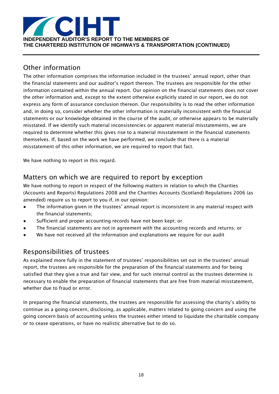

# Other information

The other information comprises the information included in the trustees' annual report, other than the financial statements and our auditor's report thereon. The trustees are responsible for the other information contained within the annual report. Our opinion on the financial statements does not cover the other information and, except to the extent otherwise explicitly stated in our report, we do not express any form of assurance conclusion thereon. Our responsibility is to read the other information and, in doing so, consider whether the other information is materially inconsistent with the financial statements or our knowledge obtained in the course of the audit, or otherwise appears to be materially misstated. If we identify such material inconsistencies or apparent material misstatements, we are required to determine whether this gives rise to a material misstatement in the financial statements themselves. If, based on the work we have performed, we conclude that there is a material misstatement of this other information, we are required to report that fact.

We have nothing to report in this regard.

## Matters on which we are required to report by exception

We have nothing to report in respect of the following matters in relation to which the Charities (Accounts and Reports) Regulations 2008 and the Charities Accounts (Scotland) Regulations 2006 (as amended) require us to report to you if, in our opinion:

- The information given in the trustees' annual report is inconsistent in any material respect with the financial statements;
- Sufficient and proper accounting records have not been kept; or
- The financial statements are not in agreement with the accounting records and returns; or
- We have not received all the information and explanations we require for our audit

# Responsibilities of trustees

As explained more fully in the statement of trustees' responsibilities set out in the trustees' annual report, the trustees are responsible for the preparation of the financial statements and for being satisfied that they give a true and fair view, and for such internal control as the trustees determine is necessary to enable the preparation of financial statements that are free from material misstatement, whether due to fraud or error.

In preparing the financial statements, the trustees are responsible for assessing the charity's ability to continue as a going concern, disclosing, as applicable, matters related to going concern and using the going concern basis of accounting unless the trustees either intend to liquidate the charitable company or to cease operations, or have no realistic alternative but to do so.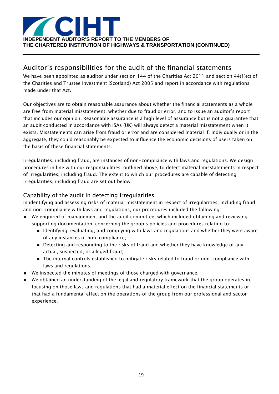

# Auditor's responsibilities for the audit of the financial statements

We have been appointed as auditor under section 144 of the Charities Act 2011 and section 44(1)(c) of the Charities and Trustee Investment (Scotland) Act 2005 and report in accordance with regulations made under that Act.

Our objectives are to obtain reasonable assurance about whether the financial statements as a whole are free from material misstatement, whether due to fraud or error, and to issue an auditor's report that includes our opinion. Reasonable assurance is a high level of assurance but is not a guarantee that an audit conducted in accordance with ISAs (UK) will always detect a material misstatement when it exists. Misstatements can arise from fraud or error and are considered material if, individually or in the aggregate, they could reasonably be expected to influence the economic decisions of users taken on the basis of these financial statements.

Irregularities, including fraud, are instances of non-compliance with laws and regulations. We design procedures in line with our responsibilities, outlined above, to detect material misstatements in respect of irregularities, including fraud. The extent to which our procedures are capable of detecting irregularities, including fraud are set out below.

### Capability of the audit in detecting irregularities

In identifying and assessing risks of material misstatement in respect of irregularities, including fraud and non-compliance with laws and regulations, our procedures included the following:

- We enquired of management and the audit committee, which included obtaining and reviewing supporting documentation, concerning the group's policies and procedures relating to:
	- Identifying, evaluating, and complying with laws and regulations and whether they were aware of any instances of non-compliance;
	- Detecting and responding to the risks of fraud and whether they have knowledge of any actual, suspected, or alleged fraud;
	- The internal controls established to mitigate risks related to fraud or non-compliance with laws and regulations.
- We inspected the minutes of meetings of those charged with governance.
- We obtained an understanding of the legal and regulatory framework that the group operates in, focusing on those laws and regulations that had a material effect on the financial statements or that had a fundamental effect on the operations of the group from our professional and sector experience.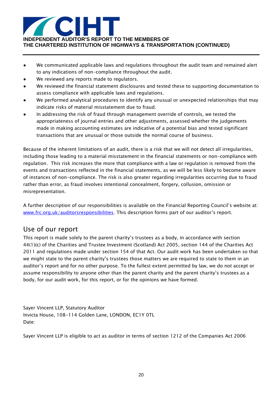

- We communicated applicable laws and regulations throughout the audit team and remained alert to any indications of non-compliance throughout the audit.
- We reviewed any reports made to regulators.
- We reviewed the financial statement disclosures and tested these to supporting documentation to assess compliance with applicable laws and regulations.
- We performed analytical procedures to identify any unusual or unexpected relationships that may indicate risks of material misstatement due to fraud.
- In addressing the risk of fraud through management override of controls, we tested the appropriateness of journal entries and other adjustments, assessed whether the judgements made in making accounting estimates are indicative of a potential bias and tested significant transactions that are unusual or those outside the normal course of business.

Because of the inherent limitations of an audit, there is a risk that we will not detect all irregularities, including those leading to a material misstatement in the financial statements or non-compliance with regulation. This risk increases the more that compliance with a law or regulation is removed from the events and transactions reflected in the financial statements, as we will be less likely to become aware of instances of non-compliance. The risk is also greater regarding irregularities occurring due to fraud rather than error, as fraud involves intentional concealment, forgery, collusion, omission or misrepresentation.

A further description of our responsibilities is available on the Financial Reporting Council's website at: [www.frc.org.uk/auditorsresponsibilities](http://www.frc.org.uk/auditorsresponsibilities). This description forms part of our auditor's report.

# Use of our report

This report is made solely to the parent charity's trustees as a body, in accordance with section 44(1)(c) of the Charities and Trustee Investment (Scotland) Act 2005, section 144 of the Charities Act 2011 and regulations made under section 154 of that Act. Our audit work has been undertaken so that we might state to the parent charity's trustees those matters we are required to state to them in an auditor's report and for no other purpose. To the fullest extent permitted by law, we do not accept or assume responsibility to anyone other than the parent charity and the parent charity's trustees as a body, for our audit work, for this report, or for the opinions we have formed.

Sayer Vincent LLP, Statutory Auditor Invicta House, 108-114 Golden Lane, LONDON, EC1Y 0TL Date:

Sayer Vincent LLP is eligible to act as auditor in terms of section 1212 of the Companies Act 2006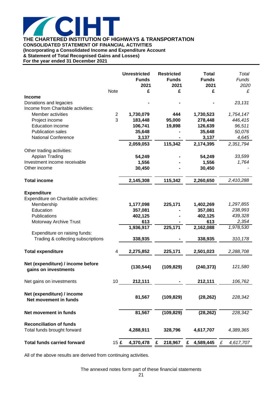

**THE CHARTERED INSTITUTION OF HIGHWAYS & TRANSPORTATION CONSOLIDATED STATEMENT OF FINANCIAL ACTIVITIES (Incorporating a Consolidated Income and Expenditure Account**

**& Statement of Total Recognised Gains and Losses)**

**For the year ended 31 December 2021**

| <b>Note</b><br>£<br>£<br>£<br><b>Income</b><br>Donations and legacies<br>Income from Charitable activities:<br>$\overline{2}$<br>Member activities<br>1,730,079<br>1,730,523<br>1,754,147<br>444<br>3<br>183,448<br>95,000<br>278,448<br>Project income<br>446,415<br><b>Education income</b><br>106,741<br>19,898<br>126,639<br><b>Publication sales</b><br>35,648<br>35,648<br><b>National Conference</b><br>3,137<br>3,137<br>2,059,053<br>115,342<br>2,174,395<br>2,351,794<br>Other trading activities:<br>Appian Trading<br>54,249<br>54,249<br>Investment income receivable<br>1,556<br>1,556<br>30,450<br>Other income<br>30,450<br>2,145,308<br>115,342<br>2,410,288<br><b>Total income</b><br>2,260,650<br><b>Expenditure</b><br>Expenditure on Charitable activities:<br>Membership<br>1,177,098<br>225,171<br>1,402,269<br>1,297,855<br>Education<br>357,081<br>357,081<br>238,993<br>Publications<br>402,125<br>402,125<br>439,328<br>Motorway Archive Trust<br>613<br>613<br>2,354<br>225,171<br>1,936,917<br>2,162,088<br>1,978,530<br>Expenditure on raising funds:<br>Trading & collecting subscriptions<br>338,935<br>338,935<br>310,178<br>2,288,708<br><b>Total expenditure</b><br>4<br>225,171<br>2,501,023<br>2,275,852 | £<br>23,131<br>96,511<br>50,076<br>4,645<br>33,599<br>1,764 |
|-----------------------------------------------------------------------------------------------------------------------------------------------------------------------------------------------------------------------------------------------------------------------------------------------------------------------------------------------------------------------------------------------------------------------------------------------------------------------------------------------------------------------------------------------------------------------------------------------------------------------------------------------------------------------------------------------------------------------------------------------------------------------------------------------------------------------------------------------------------------------------------------------------------------------------------------------------------------------------------------------------------------------------------------------------------------------------------------------------------------------------------------------------------------------------------------------------------------------------------------------|-------------------------------------------------------------|
|                                                                                                                                                                                                                                                                                                                                                                                                                                                                                                                                                                                                                                                                                                                                                                                                                                                                                                                                                                                                                                                                                                                                                                                                                                               |                                                             |
|                                                                                                                                                                                                                                                                                                                                                                                                                                                                                                                                                                                                                                                                                                                                                                                                                                                                                                                                                                                                                                                                                                                                                                                                                                               |                                                             |
|                                                                                                                                                                                                                                                                                                                                                                                                                                                                                                                                                                                                                                                                                                                                                                                                                                                                                                                                                                                                                                                                                                                                                                                                                                               |                                                             |
|                                                                                                                                                                                                                                                                                                                                                                                                                                                                                                                                                                                                                                                                                                                                                                                                                                                                                                                                                                                                                                                                                                                                                                                                                                               |                                                             |
|                                                                                                                                                                                                                                                                                                                                                                                                                                                                                                                                                                                                                                                                                                                                                                                                                                                                                                                                                                                                                                                                                                                                                                                                                                               |                                                             |
|                                                                                                                                                                                                                                                                                                                                                                                                                                                                                                                                                                                                                                                                                                                                                                                                                                                                                                                                                                                                                                                                                                                                                                                                                                               |                                                             |
|                                                                                                                                                                                                                                                                                                                                                                                                                                                                                                                                                                                                                                                                                                                                                                                                                                                                                                                                                                                                                                                                                                                                                                                                                                               |                                                             |
|                                                                                                                                                                                                                                                                                                                                                                                                                                                                                                                                                                                                                                                                                                                                                                                                                                                                                                                                                                                                                                                                                                                                                                                                                                               |                                                             |
|                                                                                                                                                                                                                                                                                                                                                                                                                                                                                                                                                                                                                                                                                                                                                                                                                                                                                                                                                                                                                                                                                                                                                                                                                                               |                                                             |
|                                                                                                                                                                                                                                                                                                                                                                                                                                                                                                                                                                                                                                                                                                                                                                                                                                                                                                                                                                                                                                                                                                                                                                                                                                               |                                                             |
|                                                                                                                                                                                                                                                                                                                                                                                                                                                                                                                                                                                                                                                                                                                                                                                                                                                                                                                                                                                                                                                                                                                                                                                                                                               |                                                             |
|                                                                                                                                                                                                                                                                                                                                                                                                                                                                                                                                                                                                                                                                                                                                                                                                                                                                                                                                                                                                                                                                                                                                                                                                                                               |                                                             |
|                                                                                                                                                                                                                                                                                                                                                                                                                                                                                                                                                                                                                                                                                                                                                                                                                                                                                                                                                                                                                                                                                                                                                                                                                                               |                                                             |
|                                                                                                                                                                                                                                                                                                                                                                                                                                                                                                                                                                                                                                                                                                                                                                                                                                                                                                                                                                                                                                                                                                                                                                                                                                               |                                                             |
|                                                                                                                                                                                                                                                                                                                                                                                                                                                                                                                                                                                                                                                                                                                                                                                                                                                                                                                                                                                                                                                                                                                                                                                                                                               |                                                             |
|                                                                                                                                                                                                                                                                                                                                                                                                                                                                                                                                                                                                                                                                                                                                                                                                                                                                                                                                                                                                                                                                                                                                                                                                                                               |                                                             |
|                                                                                                                                                                                                                                                                                                                                                                                                                                                                                                                                                                                                                                                                                                                                                                                                                                                                                                                                                                                                                                                                                                                                                                                                                                               |                                                             |
|                                                                                                                                                                                                                                                                                                                                                                                                                                                                                                                                                                                                                                                                                                                                                                                                                                                                                                                                                                                                                                                                                                                                                                                                                                               |                                                             |
|                                                                                                                                                                                                                                                                                                                                                                                                                                                                                                                                                                                                                                                                                                                                                                                                                                                                                                                                                                                                                                                                                                                                                                                                                                               |                                                             |
|                                                                                                                                                                                                                                                                                                                                                                                                                                                                                                                                                                                                                                                                                                                                                                                                                                                                                                                                                                                                                                                                                                                                                                                                                                               |                                                             |
|                                                                                                                                                                                                                                                                                                                                                                                                                                                                                                                                                                                                                                                                                                                                                                                                                                                                                                                                                                                                                                                                                                                                                                                                                                               |                                                             |
|                                                                                                                                                                                                                                                                                                                                                                                                                                                                                                                                                                                                                                                                                                                                                                                                                                                                                                                                                                                                                                                                                                                                                                                                                                               |                                                             |
|                                                                                                                                                                                                                                                                                                                                                                                                                                                                                                                                                                                                                                                                                                                                                                                                                                                                                                                                                                                                                                                                                                                                                                                                                                               |                                                             |
|                                                                                                                                                                                                                                                                                                                                                                                                                                                                                                                                                                                                                                                                                                                                                                                                                                                                                                                                                                                                                                                                                                                                                                                                                                               |                                                             |
| Net (expenditure) / income before<br>121,580<br>(130, 544)<br>(109, 829)<br>(240, 373)<br>gains on investments                                                                                                                                                                                                                                                                                                                                                                                                                                                                                                                                                                                                                                                                                                                                                                                                                                                                                                                                                                                                                                                                                                                                |                                                             |
| Net gains on investments<br>10<br>212,111<br>212,111<br>106,762                                                                                                                                                                                                                                                                                                                                                                                                                                                                                                                                                                                                                                                                                                                                                                                                                                                                                                                                                                                                                                                                                                                                                                               |                                                             |
| Net (expenditure) / income<br>(109, 829)<br>81,567<br>(28, 262)<br>228,342<br>Net movement in funds                                                                                                                                                                                                                                                                                                                                                                                                                                                                                                                                                                                                                                                                                                                                                                                                                                                                                                                                                                                                                                                                                                                                           |                                                             |
| (109, 829)<br>228,342<br>81,567<br>(28, 262)<br>Net movement in funds                                                                                                                                                                                                                                                                                                                                                                                                                                                                                                                                                                                                                                                                                                                                                                                                                                                                                                                                                                                                                                                                                                                                                                         |                                                             |
| <b>Reconciliation of funds</b>                                                                                                                                                                                                                                                                                                                                                                                                                                                                                                                                                                                                                                                                                                                                                                                                                                                                                                                                                                                                                                                                                                                                                                                                                |                                                             |
| Total funds brought forward<br>4,617,707<br>4,389,365<br>4,288,911<br>328,796                                                                                                                                                                                                                                                                                                                                                                                                                                                                                                                                                                                                                                                                                                                                                                                                                                                                                                                                                                                                                                                                                                                                                                 |                                                             |
| <b>Total funds carried forward</b><br>4,370,478<br>218,967<br>4,589,445<br>15E<br>£<br>£<br>4,617,707<br>£                                                                                                                                                                                                                                                                                                                                                                                                                                                                                                                                                                                                                                                                                                                                                                                                                                                                                                                                                                                                                                                                                                                                    |                                                             |

All of the above results are derived from continuing activities.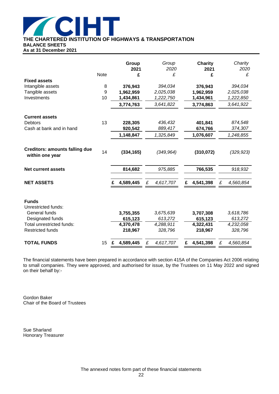

**THE CHARTERED INSTITUTION OF HIGHWAYS & TRANSPORTATION**

**BALANCE SHEETS**

**As at 31 December 2021**

|                                                          |                       | Group<br>2021          | Group<br>2020        | Charity<br>2021        | Charity<br>2020      |
|----------------------------------------------------------|-----------------------|------------------------|----------------------|------------------------|----------------------|
|                                                          | <b>Note</b>           | £                      | £                    | £                      | £                    |
| <b>Fixed assets</b>                                      |                       |                        |                      |                        |                      |
| Intangible assets<br>Tangible assets                     | 8<br>$\boldsymbol{9}$ | 376,943                | 394,034<br>2,025,038 | 376,943                | 394,034<br>2,025,038 |
| Investments                                              | 10                    | 1,962,959<br>1,434,861 | 1,222,750            | 1,962,959<br>1,434,961 | 1,222,850            |
|                                                          |                       |                        |                      |                        |                      |
|                                                          |                       | 3,774,763              | 3,641,822            | 3,774,863              | 3,641,922            |
| <b>Current assets</b>                                    |                       |                        |                      |                        |                      |
| Debtors                                                  | 13                    | 228,305                | 436,432              | 401,841                | 874,548              |
| Cash at bank and in hand                                 |                       | 920,542                | 889,417              | 674,766                | 374,307              |
|                                                          |                       | 1,148,847              | 1,325,849            | 1,076,607              | 1,248,855            |
| <b>Creditors: amounts falling due</b><br>within one year | 14                    | (334, 165)             | (349, 964)           | (310, 072)             | (329, 923)           |
| <b>Net current assets</b>                                |                       | 814,682                | 975,885              | 766,535                | 918,932              |
| <b>NET ASSETS</b>                                        |                       | 4,589,445              | £<br>4,617,707       | £<br>4,541,398         | £<br>4,560,854       |
| <b>Funds</b><br>Unrestricted funds:                      |                       |                        |                      |                        |                      |
| General funds                                            |                       | 3,755,355              | 3,675,639            | 3,707,308              | 3,618,786            |
| Designated funds<br>Total unrestricted funds:            |                       | 615,123<br>4,370,478   | 613,272<br>4,288,911 | 615,123<br>4,322,431   | 613,272<br>4,232,058 |
| <b>Restricted funds</b>                                  |                       | 218,967                | 328,796              | 218,967                | 328,796              |
| <b>TOTAL FUNDS</b>                                       | 15 <sub>2</sub>       | 4,589,445              | £<br>4,617,707       | 4,541,398<br>£         | £<br>4,560,854       |

The financial statements have been prepared in accordance with section 415A of the Companies Act 2006 relating to small companies. They were approved, and authorised for issue, by the Trustees on 11 May 2022 and signed on their behalf by:-

Gordon Baker Chair of the Board of Trustees

Sue Sharland Honorary Treasurer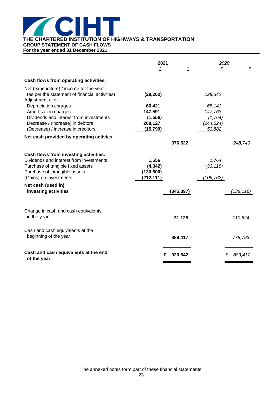

**GROUP STATEMENT OF CASH FLOWS**

**For the year ended 31 December 2021**

|                                                                                                                                                                                  | 2021<br>£                                     | 2020<br>£<br>£                  | £            |
|----------------------------------------------------------------------------------------------------------------------------------------------------------------------------------|-----------------------------------------------|---------------------------------|--------------|
| Cash flows from operating activities:                                                                                                                                            |                                               |                                 |              |
| Net (expenditure) / income for the year<br>(as per the statement of financial activities)<br>Adjustments for:                                                                    | (28, 262)                                     | 228,342                         |              |
| Depreciation charges<br>Amortisation charges                                                                                                                                     | 66,421<br>147,591                             | 65,141<br>147,763               |              |
| Dividends and interest from investments<br>Decrease / (increase) in debtors<br>(Decrease) / increase in creditors                                                                | (1, 556)<br>208,127<br>(15, 799)              | (1,764)<br>(244, 624)<br>53,882 |              |
| Net cash provided by operating activies                                                                                                                                          | 376,522                                       |                                 | 248,740      |
|                                                                                                                                                                                  |                                               |                                 |              |
| Cash flows from investing activities:<br>Dividends and interest from investments<br>Purchase of tangible fixed assets<br>Purchase of intangible assets<br>(Gains) on investments | 1,556<br>(4, 342)<br>(130, 500)<br>(212, 111) | 1,764<br>(33, 118)<br>(106,762) |              |
| Net cash (used in)<br>investing activities                                                                                                                                       | (345, 397)                                    |                                 | (138, 116)   |
| Change in cash and cash equivalents<br>in the year                                                                                                                               | 31,125                                        |                                 | 110,624      |
| Cash and cash equivalents at the<br>beginning of the year                                                                                                                        | 889,417                                       |                                 | 778,793      |
| Cash and cash equivalents at the end<br>of the year                                                                                                                              | 920,542<br>£                                  |                                 | 889,417<br>£ |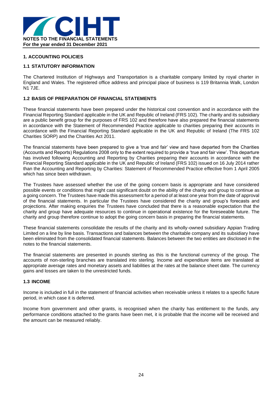

### **1. ACCOUNTING POLICIES**

### **1.1 STATUTORY INFORMATION**

The Chartered Institution of Highways and Transportation is a charitable company limited by royal charter in England and Wales. The registered office address and principal place of business is 119 Britannia Walk, London N1 7JE.

### **1.2 BASIS OF PREPARATION OF FINANCIAL STATEMENTS**

These financial statements have been prepared under the historical cost convention and in accordance with the Financial Reporting Standard applicable in the UK and Republic of Ireland (FRS 102). The charity and its subsidiary are a public benefit group for the purposes of FRS 102 and therefore have also prepared the financial statements in accordance with the Statement of Recommended Practice applicable to charities preparing their accounts in accordance with the Financial Reporting Standard applicable in the UK and Republic of Ireland (The FRS 102 Charities SORP) and the Charities Act 2011.

The financial statements have been prepared to give a 'true and fair' view and have departed from the Charities (Accounts and Reports) Regulations 2008 only to the extent required to provide a 'true and fair view'. This departure has involved following Accounting and Reporting by Charities preparing their accounts in accordance with the Financial Reporting Standard applicable in the UK and Republic of Ireland (FRS 102) issued on 16 July 2014 rather than the Accounting and Reporting by Charities: Statement of Recommended Practice effective from 1 April 2005 which has since been withdrawn.

The Trustees have assessed whether the use of the going concern basis is appropriate and have considered possible events or conditions that might cast significant doubt on the ability of the charity and group to continue as a going concern. The Trustees have made this assessment for a period of at least one year from the date of approval of the financial statements. In particular the Trustees have considered the charity and group's forecasts and projections. After making enquiries the Trustees have concluded that there is a reasonable expectation that the charity and group have adequate resources to continue in operational existence for the foreseeable future. The charity and group therefore continue to adopt the going concern basis in preparing the financial statements.

These financial statements consolidate the results of the charity and its wholly-owned subsidiary Appian Trading Limited on a line by line basis. Transactions and balances between the charitable company and its subsidiary have been eliminated from the consolidated financial statements. Balances between the two entities are disclosed in the notes to the financial statements.

The financial statements are presented in pounds sterling as this is the functional currency of the group. The accounts of non-sterling branches are translated into sterling. Income and expenditure items are translated at appropriate average rates and monetary assets and liabilities at the rates at the balance sheet date. The currency gains and losses are taken to the unrestricted funds.

### **1.3 INCOME**

Income is included in full in the statement of financial activities when receivable unless it relates to a specific future period, in which case it is deferred.

Income from government and other grants, is recognised when the charity has entitlement to the funds, any performance conditions attached to the grants have been met, it is probable that the income will be received and the amount can be measured reliably.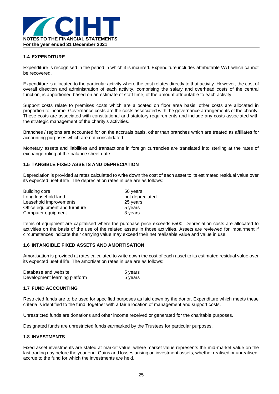

### **1.4 EXPENDITURE**

Expenditure is recognised in the period in which it is incurred. Expenditure includes attributable VAT which cannot be recovered.

Expenditure is allocated to the particular activity where the cost relates directly to that activity. However, the cost of overall direction and administration of each activity, comprising the salary and overhead costs of the central function, is apportioned based on an estimate of staff time, of the amount attributable to each activity.

Support costs relate to premises costs which are allocated on floor area basis; other costs are allocated in proportion to income. Governance costs are the costs associated with the governance arrangements of the charity. These costs are associated with constitutional and statutory requirements and include any costs associated with the strategic management of the charity's activities.

Branches / regions are accounted for on the accruals basis, other than branches which are treated as affiliates for accounting purposes which are not consolidated.

Monetary assets and liabilities and transactions in foreign currencies are translated into sterling at the rates of exchange ruling at the balance sheet date.

### **1.5 TANGIBLE FIXED ASSETS AND DEPRECIATION**

Depreciation is provided at rates calculated to write down the cost of each asset to its estimated residual value over its expected useful life. The depreciation rates in use are as follows:

| Building core                  | 50 years        |
|--------------------------------|-----------------|
| Long leasehold land            | not depreciated |
| Leasehold improvements         | 25 years        |
| Office equipment and furniture | 5 years         |
| Computer equipment             | 3 years         |

Items of equipment are capitalised where the purchase price exceeds £500. Depreciation costs are allocated to activities on the basis of the use of the related assets in those activities. Assets are reviewed for impairment if circumstances indicate their carrying value may exceed their net realisable value and value in use.

#### **1.6 INTANGIBLE FIXED ASSETS AND AMORTISATION**

Amortisation is provided at rates calculated to write down the cost of each asset to its estimated residual value over its expected useful life. The amortisation rates in use are as follows:

| Database and website          | 5 years |
|-------------------------------|---------|
| Development learning platform | 5 years |

#### **1.7 FUND ACCOUNTING**

Restricted funds are to be used for specified purposes as laid down by the donor. Expenditure which meets these criteria is identified to the fund, together with a fair allocation of management and support costs.

Unrestricted funds are donations and other income received or generated for the charitable purposes.

Designated funds are unrestricted funds earmarked by the Trustees for particular purposes.

### **1.8 INVESTMENTS**

Fixed asset investments are stated at market value, where market value represents the mid-market value on the last trading day before the year end. Gains and losses arising on investment assets, whether realised or unrealised, accrue to the fund for which the investments are held.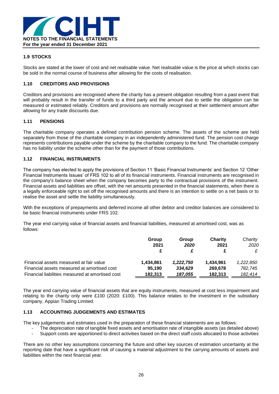

### **1.9 STOCKS**

Stocks are stated at the lower of cost and net realisable value. Net realisable value is the price at which stocks can be sold in the normal course of business after allowing for the costs of realisation.

### **1.10 CREDITORS AND PROVISIONS**

Creditors and provisions are recognised where the charity has a present obligation resulting from a past event that will probably result in the transfer of funds to a third party and the amount due to settle the obligation can be measured or estimated reliably. Creditors and provisions are normally recognised at their settlement amount after allowing for any trade discounts due.

### **1.11 PENSIONS**

The charitable company operates a defined contribution pension scheme. The assets of the scheme are held separately from those of the charitable company in an independently administered fund. The pension cost charge represents contributions payable under the scheme by the charitable company to the fund. The charitable company has no liability under the scheme other than for the payment of those contributions.

#### **1.12 FINANCIAL INSTRUMENTS**

The company has elected to apply the provisions of Section 11 'Basic Financial Instruments' and Section 12 'Other Financial Instruments Issues' of FRS 102 to all of its financial instruments. Financial instruments are recognised in the company's balance sheet when the company becomes party to the contractual provisions of the instrument. Financial assets and liabilities are offset, with the net amounts presented in the financial statements, when there is a legally enforceable right to set off the recognised amounts and there is an intention to settle on a net basis or to realise the asset and settle the liability simultaneously.

With the exceptions of prepayments and deferred income all other debtor and creditor balances are considered to be basic financial instruments under FRS 102.

The year end carrying value of financial assets and financial liabilities, measured at amortised cost, was as follows:

|                                                  | Group<br>2021 | Group<br>2020 | <b>Charity</b><br>2021 | Charity<br>2020 |
|--------------------------------------------------|---------------|---------------|------------------------|-----------------|
| Financial assets measured at fair value          | 1.434.861     | 1,222,750     | 1.434.961              | 1,222,850       |
| Financial assets measured at amortised cost      | 95.190        | 334,629       | 269,678                | 782.745         |
| Financial liabilities measured at amortised cost | 182,313       | 187,055       | 182.313                | 182,414         |

The year end carrying value of financial assets that are equity instruments, measured at cost less impairment and relating to the charity only were £100 (2020: £100). This balance relates to the investment in the subsidiary company, Appian Trading Limited.

### **1.13 ACCOUNTING JUDGEMENTS AND ESTIMATES**

The key judgements and estimates used in the preparation of these financial statements are as follows:

- The depreciation rate of tangible fixed assets and amortisation rate of intangible assets (as detailed above)
- Support costs are apportioned to direct activities based on the direct staff costs allocated to those activities

There are no other key assumptions concerning the future and other key sources of estimation uncertainty at the reporting date that have a significant risk of causing a material adjustment to the carrying amounts of assets and liabilities within the next financial year.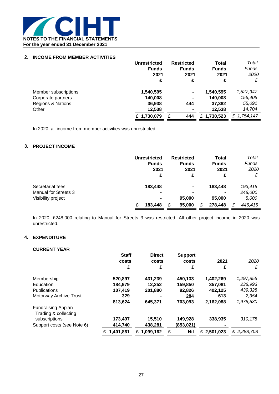

### **2. INCOME FROM MEMBER ACTIVITIES**

|                              | Unrestricted<br><b>Funds</b><br>2021<br>£ | <b>Restricted</b><br><b>Funds</b><br>2021<br>£ | Total<br><b>Funds</b><br>2021<br>£ | Total<br>Funds<br>2020<br>£ |
|------------------------------|-------------------------------------------|------------------------------------------------|------------------------------------|-----------------------------|
| Member subscriptions         | 1,540,595                                 | $\blacksquare$                                 | 1,540,595                          | 1,527,947                   |
| Corporate partners           | 140,008                                   | $\blacksquare$                                 | 140,008                            | 156,405                     |
| <b>Regions &amp; Nations</b> | 36,938                                    | 444                                            | 37,382                             | 55,091                      |
| Other                        | 12,538                                    |                                                | 12,538                             | 14,704                      |
|                              | £ 1,730,079                               | 444                                            | £1,730,523                         | £ 1,754,147                 |

In 2020, all income from member activities was unrestricted.

### **3. PROJECT INCOME**

|                                                                       | Unrestricted<br><b>Funds</b><br>2021<br>£   | <b>Restricted</b><br><b>Funds</b><br>2021<br>£ | Total<br><b>Funds</b><br>2021<br>£ | Total<br><b>Funds</b><br>2020<br>£ |
|-----------------------------------------------------------------------|---------------------------------------------|------------------------------------------------|------------------------------------|------------------------------------|
| Secretariat fees<br><b>Manual for Streets 3</b><br>Visibility project | 183,448<br>$\blacksquare$<br>$\blacksquare$ | $\blacksquare$<br>$\blacksquare$<br>95,000     | 183,448<br>95,000                  | 193,415<br>248,000<br>5,000        |
|                                                                       | 183,448<br>£                                | 95,000<br>£                                    | 278,448                            | 446,415<br>£                       |

In 2020, £248,000 relating to Manual for Streets 3 was restricted. All other project income in 2020 was unrestricted.

### **4. EXPENDITURE**

### **CURRENT YEAR**

|                            | <b>Staff</b><br>costs<br>£ | <b>Direct</b><br>costs<br>£ | <b>Support</b><br>costs<br>£ | 2021<br>£   | 2020<br>£   |
|----------------------------|----------------------------|-----------------------------|------------------------------|-------------|-------------|
|                            |                            |                             |                              |             |             |
| Membership                 | 520,897                    | 431,239                     | 450,133                      | 1,402,269   | 1,297,855   |
| Education                  | 184.979                    | 12,252                      | 159,850                      | 357,081     | 238,993     |
| Publications               | 107,419                    | 201,880                     | 92,826                       | 402,125     | 439,328     |
| Motorway Archive Trust     | 329                        |                             | 284                          | 613         | 2,354       |
|                            | 813,624                    | 645,371                     | 703,093                      | 2,162,088   | 1,978,530   |
| <b>Fundraising Appian</b>  |                            |                             |                              |             |             |
| Trading & collecting       |                            |                             |                              |             |             |
| subscriptions              | 173,497                    | 15,510                      | 149,928                      | 338,935     | 310,178     |
| Support costs (see Note 6) | 414,740                    | 438,281                     | (853,021)                    |             |             |
|                            | £ 1,401,861                | £ 1,099,162                 | <b>Nil</b><br>£              | £ 2,501,023 | £ 2,288,708 |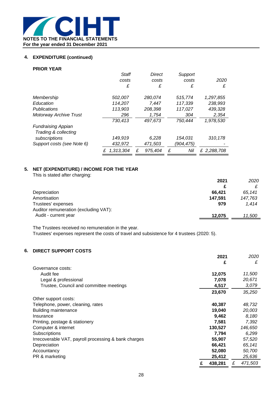

### **4. EXPENDITURE (continued)**

### **PRIOR YEAR**

|                               | Staff          |   | <b>Direct</b> |   | Support   |             |
|-------------------------------|----------------|---|---------------|---|-----------|-------------|
|                               | costs          |   | costs         |   | costs     | 2020        |
|                               | £              |   | £             |   | £         | £           |
| Membership                    | 502,007        |   | 280,074       |   | 515,774   | 1,297,855   |
| Education                     | 114,207        |   | 7.447         |   | 117,339   | 238,993     |
| Publications                  | 113,903        |   | 208,398       |   | 117,027   | 439,328     |
| <b>Motorway Archive Trust</b> | 296            |   | 1,754         |   | 304       | 2,354       |
|                               | 730,413        |   | 497,673       |   | 750,444   | 1,978,530   |
| <b>Fundraising Appian</b>     |                |   |               |   |           |             |
| Trading & collecting          |                |   |               |   |           |             |
| subscriptions                 | 149,919        |   | 6,228         |   | 154,031   | 310,178     |
| Support costs (see Note 6)    | 432,972        |   | 471,503       |   | (904,475) |             |
|                               | 1,313,304<br>£ | £ | 975,404       | £ | Nil       | £ 2,288,708 |

### **5. NET (EXPENDITURE) / INCOME FOR THE YEAR**

This is stated after charging:

|                                       | 2021    | 2020    |
|---------------------------------------|---------|---------|
|                                       |         |         |
| Depreciation                          | 66.421  | 65.141  |
| Amortisation                          | 147,591 | 147,763 |
| Trustees' expenses                    | 979     | 1.414   |
| Auditor remuneration (excluding VAT): |         |         |
| Audit - current year                  | 12.075  | 11,500  |

The Trustees received no remuneration in the year.

Trustees' expenses represent the costs of travel and subsistence for 4 trustees (2020: 5).

### **6. DIRECT SUPPORT COSTS**

|                                                      |   | 2021    |   | 2020    |
|------------------------------------------------------|---|---------|---|---------|
|                                                      |   | £       |   | £       |
| Governance costs:                                    |   |         |   |         |
| Audit fee                                            |   | 12,075  |   | 11,500  |
| Legal & professional                                 |   | 7,078   |   | 20,671  |
| Trustee, Council and committee meetings              |   | 4,517   |   | 3,079   |
|                                                      |   | 23,670  |   | 35,250  |
| Other support costs:                                 |   |         |   |         |
| Telephone, power, cleaning, rates                    |   | 40,387  |   | 48,732  |
| <b>Building maintenance</b>                          |   | 19,040  |   | 20,003  |
| Insurance                                            |   | 9,462   |   | 8,180   |
| Printing, postage & stationery                       |   | 7,581   |   | 7,392   |
| Computer & internet                                  |   | 130,527 |   | 146,650 |
| Subscriptions                                        |   | 7,794   |   | 6,299   |
| Irrecoverable VAT, payroll processing & bank charges |   | 55,907  |   | 57,520  |
| Depreciation                                         |   | 66,421  |   | 65,141  |
| Accountancy                                          |   | 52,080  |   | 50,700  |
| PR & marketing                                       |   | 25,412  |   | 25,636  |
|                                                      | £ | 438.281 | £ | 471,503 |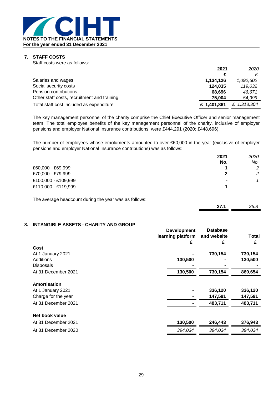

### **7. STAFF COSTS**

| Staff costs were as follows:                |             |             |
|---------------------------------------------|-------------|-------------|
|                                             | 2021        | 2020        |
|                                             |             |             |
| Salaries and wages                          | 1,134,126   | 1,092,602   |
| Social security costs                       | 124,035     | 119,032     |
| Pension contributions                       | 68.696      | 46.671      |
| Other staff costs, recruitment and training | 75,004      | 54,999      |
| Total staff cost included as expenditure    | £ 1.401.861 | £ 1,313,304 |

The key management personnel of the charity comprise the Chief Executive Officer and senior management team. The total employee benefits of the key management personnel of the charity, inclusive of employer pensions and employer National Insurance contributions, were £444,291 (2020: £448,696).

The number of employees whose emoluments amounted to over £60,000 in the year (exclusive of employer pensions and employer National Insurance contributions) was as follows:

|                                                       | 2021 | 2020 |
|-------------------------------------------------------|------|------|
|                                                       | No.  | No.  |
| £60,000 - £69,999                                     |      | 2    |
| £70,000 - £79,999                                     | 2    | 2    |
| £100,000 - £109,999                                   |      | 1    |
| £110,000 - £119,999                                   |      |      |
|                                                       |      |      |
| The average headcount during the year was as follows: |      |      |

**27.1** *25.8*

### **8. INTANGIBLE ASSETS - CHARITY AND GROUP**

|                     | <b>Development</b> | <b>Database</b> |         |  |  |
|---------------------|--------------------|-----------------|---------|--|--|
|                     | learning platform  | and website     | Total   |  |  |
|                     | £                  | £               | £       |  |  |
| Cost                |                    |                 |         |  |  |
| At 1 January 2021   |                    | 730,154         | 730,154 |  |  |
| Additions           | 130,500            |                 | 130,500 |  |  |
| <b>Disposals</b>    |                    |                 |         |  |  |
| At 31 December 2021 | 130,500            | 730,154         | 860,654 |  |  |
| <b>Amortisation</b> |                    |                 |         |  |  |
| At 1 January 2021   |                    | 336,120         | 336,120 |  |  |
| Charge for the year |                    | 147,591         | 147,591 |  |  |
| At 31 December 2021 |                    | 483,711         | 483,711 |  |  |
| Net book value      |                    |                 |         |  |  |
| At 31 December 2021 | 130,500            | 246,443         | 376,943 |  |  |
| At 31 December 2020 | 394,034            | 394,034         | 394,034 |  |  |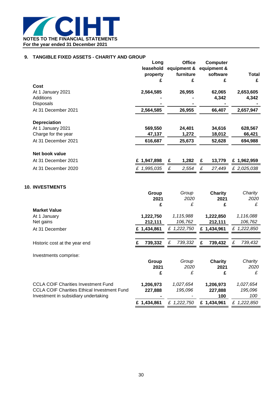

### **9. TANGIBLE FIXED ASSETS - CHARITY AND GROUP**

|                                                    | Long<br>property<br>£ | <b>Office</b><br>leasehold equipment &<br>furniture<br>£ | Computer<br>equipment &<br>software<br>£ | Total<br>£   |
|----------------------------------------------------|-----------------------|----------------------------------------------------------|------------------------------------------|--------------|
| Cost                                               |                       |                                                          |                                          |              |
| At 1 January 2021                                  | 2,564,585             | 26,955                                                   | 62,065                                   | 2,653,605    |
| Additions                                          |                       |                                                          | 4,342                                    | 4,342        |
| <b>Disposals</b>                                   |                       |                                                          |                                          |              |
| At 31 December 2021                                | 2,564,585             | 26,955                                                   | 66,407                                   | 2,657,947    |
| <b>Depreciation</b>                                |                       |                                                          |                                          |              |
| At 1 January 2021                                  | 569,550               | 24,401                                                   | 34,616                                   | 628,567      |
| Charge for the year                                | 47,137                | 1,272                                                    | 18,012                                   | 66,421       |
| At 31 December 2021                                | 616,687               | 25,673                                                   | 52,628                                   | 694,988      |
| Net book value                                     |                       |                                                          |                                          |              |
| At 31 December 2021                                | £ 1,947,898           | 1,282<br>£                                               | £<br>13,779                              | £ 1,962,959  |
| At 31 December 2020                                | £ 1,995,035           | £<br>2,554                                               | £<br>27,449                              | £ 2,025,038  |
| <b>10. INVESTMENTS</b>                             |                       |                                                          |                                          |              |
|                                                    | Group                 | Group                                                    | <b>Charity</b>                           | Charity      |
|                                                    | 2021                  | 2020<br>£                                                | 2021                                     | 2020         |
| <b>Market Value</b>                                | £                     |                                                          | £                                        | £            |
| At 1 January                                       | 1,222,750             | 1,115,988                                                | 1,222,850                                | 1,116,088    |
| Net gains                                          | 212,111               | 106,762                                                  | 212,111                                  | 106,762      |
| At 31 December                                     | £ 1,434,861           | £ 1,222,750                                              | £ 1,434,961                              | £ 1,222,850  |
|                                                    |                       |                                                          |                                          |              |
| Historic cost at the year end                      | £<br>739,332          | £<br>739,332                                             | £<br>739,432                             | £<br>739,432 |
| Investments comprise:                              |                       |                                                          |                                          |              |
|                                                    | Group                 | Group                                                    | <b>Charity</b>                           | Charity      |
|                                                    | 2021                  | 2020                                                     | 2021                                     | 2020         |
|                                                    | £                     | £                                                        | £                                        | £            |
| <b>CCLA COIF Charities Investment Fund</b>         | 1,206,973             | 1,027,654                                                | 1,206,973                                | 1,027,654    |
| <b>CCLA COIF Charities Ethical Investment Fund</b> | 227,888               | 195,096                                                  | 227,888                                  | 195,096      |
| Investment in subsidiary undertaking               |                       |                                                          | 100                                      | 100          |
|                                                    | £ 1,434,861           | £ 1,222,750                                              | £ 1,434,961                              | £ 1,222,850  |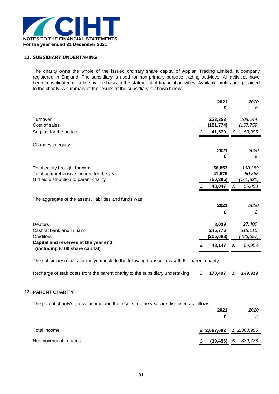

### **11. SUBSIDIARY UNDERTAKING**

The charity owns the whole of the issued ordinary share capital of Appian Trading Limited, a company registered in England. The subsidiary is used for non-primary purpose trading activities. All activities have been consolidated on a line by line basis in the statement of financial activities. Available profits are gift aided to the charity. A summary of the results of the subsidiary is shown below:

|                                                                        |   | 2021      |   | 2020      |
|------------------------------------------------------------------------|---|-----------|---|-----------|
|                                                                        |   | £         |   | £         |
| Turnover                                                               |   | 223,353   |   | 208,144   |
| Cost of sales                                                          |   | (181,774) |   | (157,759) |
| Surplus for the period                                                 | £ | 41,579    | £ | 50,385    |
| Changes in equity:                                                     |   |           |   |           |
|                                                                        |   | 2021      |   | 2020      |
|                                                                        |   | £         |   | £         |
| Total equity brought forward                                           |   | 56,853    |   | 168,289   |
| Total comprehensive income for the year                                |   | 41,579    |   | 50,385    |
| Gift aid distribution to parent charity                                |   | (50,385)  |   | (161,821) |
|                                                                        | £ | 48,047    | £ | 56,853    |
| The aggregate of the assets, liabilities and funds was:                |   |           |   |           |
|                                                                        |   | 2021      |   | 2020      |
|                                                                        |   | £         |   | £         |
| <b>Debtors</b>                                                         |   | 8,039     |   | 27,400    |
| Cash at bank and in hand                                               |   | 245,776   |   | 515,110   |
| Creditors                                                              |   | (205,668) |   | (485,557) |
| Capital and reserves at the year end<br>(including £100 share capital) | £ | 48,147    | £ | 56,953    |

The subsidiary results for the year include the following transactions with the parent charity:

| Recharge of staff costs from the parent charity to the subsidiary undertaking |  | £ 173,497 $£$ 149,919 |  |  |
|-------------------------------------------------------------------------------|--|-----------------------|--|--|
|-------------------------------------------------------------------------------|--|-----------------------|--|--|

### **12. PARENT CHARITY**

The parent charity's gross income and the results for the year are disclosed as follows:

|                       | 2021                      | 2020                    |
|-----------------------|---------------------------|-------------------------|
|                       |                           |                         |
| Total income          | £ 2,087,682 $£$ 2,363,965 |                         |
| Net movement in funds | (19, 456)                 | 339,778<br>$\mathbf{f}$ |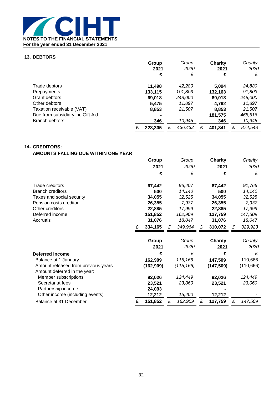

### **13. DEBTORS**

|                                  |   | Group<br>2021<br>£ | Group<br>2020<br>£ |   | <b>Charity</b><br>2021<br>£ |   | Charity<br>2020<br>£ |
|----------------------------------|---|--------------------|--------------------|---|-----------------------------|---|----------------------|
|                                  |   |                    |                    |   |                             |   |                      |
| Trade debtors                    |   | 11,498             | 42,280             |   | 5,094                       |   | 24,880               |
| Prepayments                      |   | 133,115            | 101,803            |   | 132,163                     |   | 91,803               |
| Grant debtors                    |   | 69,018             | 248,000            |   | 69,018                      |   | 248,000              |
| Other debtors                    |   | 5.475              | 11,897             |   | 4,792                       |   | 11,897               |
| Taxation receivable (VAT)        |   | 8,853              | 21,507             |   | 8,853                       |   | 21,507               |
| Due from subsidiary inc Gift Aid |   |                    |                    |   | 181,575                     |   | 465,516              |
| <b>Branch debtors</b>            |   | 346                | 10,945             |   | 346                         |   | 10,945               |
|                                  | £ | 228.305            | 436,432            | £ | 401.841                     | £ | 874,548              |

### **14. CREDITORS:**

### **AMOUNTS FALLING DUE WITHIN ONE YEAR**

|                                     |   | Group      |   | Group      |   | <b>Charity</b> |   | Charity    |
|-------------------------------------|---|------------|---|------------|---|----------------|---|------------|
|                                     |   | 2021       |   | 2020       |   | 2021           |   | 2020       |
|                                     |   | £          |   | £          |   | £              |   | £          |
| Trade creditors                     |   | 67,442     |   | 96,407     |   | 67,442         |   | 91,766     |
| <b>Branch creditors</b>             |   | 500        |   | 14,140     |   | 500            |   | 14,140     |
| Taxes and social security           |   | 34,055     |   | 32,525     |   | 34,055         |   | 32,525     |
| Pension costs creditor              |   | 26,355     |   | 7,937      |   | 26,355         |   | 7,937      |
| Other creditors                     |   | 22,885     |   | 17,999     |   | 22,885         |   | 17,999     |
| Deferred income                     |   | 151,852    |   | 162,909    |   | 127,759        |   | 147,509    |
| Accruals                            |   | 31,076     |   | 18,047     |   | 31,076         |   | 18,047     |
|                                     |   | 334,165    | £ | 349,964    | £ | 310,072        | £ | 329,923    |
|                                     |   |            |   |            |   |                |   |            |
|                                     |   | Group      |   | Group      |   | <b>Charity</b> |   | Charity    |
|                                     |   | 2021       |   | 2020       |   | 2021           |   | 2020       |
| <b>Deferred income</b>              |   | £          |   | £          |   | £              |   | £          |
| Balance at 1 January                |   | 162,909    |   | 115,166    |   | 147,509        |   | 110,666    |
| Amount released from previous years |   | (162, 909) |   | (115, 166) |   | (147, 509)     |   | (110, 666) |
| Amount deferred in the year:        |   |            |   |            |   |                |   |            |
| Member subscriptions                |   | 92,026     |   | 124,449    |   | 92,026         |   | 124,449    |
| Secretariat fees                    |   | 23,521     |   | 23,060     |   | 23,521         |   | 23,060     |
| Partnership income                  |   | 24,093     |   |            |   |                |   |            |
| Other income (including events)     |   | 12,212     |   | 15,400     |   | 12,212         |   |            |
| Balance at 31 December              | £ | 151,852    | £ | 162,909    | £ | 127,759        | £ | 147,509    |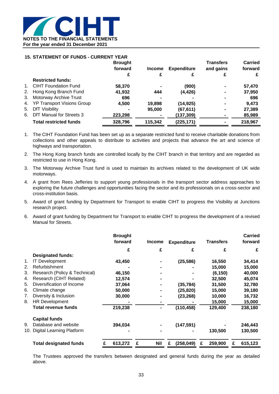

#### **15. STATEMENT OF FUNDS - CURRENT YEAR**

|         |                               | <b>Brought</b> |               |                    | <b>Transfers</b> | <b>Carried</b> |
|---------|-------------------------------|----------------|---------------|--------------------|------------------|----------------|
|         |                               | forward        | <b>Income</b> | <b>Expenditure</b> | and gains        | forward        |
|         |                               | £              |               |                    |                  |                |
|         | <b>Restricted funds:</b>      |                |               |                    |                  |                |
| $1_{1}$ | <b>CIHT Foundation Fund</b>   | 58,370         |               | (900)              | $\blacksquare$   | 57,470         |
| 2.      | Hong Kong Branch Fund         | 41,932         | 444           | (4, 426)           | $\blacksquare$   | 37,950         |
| 3.      | Motorway Archive Trust        | 696            |               |                    | $\blacksquare$   | 696            |
|         | 4. YP Transport Visions Group | 4,500          | 19,898        | (14, 925)          | $\blacksquare$   | 9.473          |
| 5.      | <b>DfT Visibility</b>         |                | 95,000        | (67, 611)          | $\blacksquare$   | 27,389         |
| 6.      | DfT Manual for Streets 3      | 223,298        |               | (137,309)          |                  | 85,989         |
|         | <b>Total restricted funds</b> | 328,796        | 115,342       | (225, 171)         |                  | 218,967        |

- 1. The CIHT Foundation Fund has been set up as a separate restricted fund to receive charitable donations from collections and other appeals to distribute to activities and projects that advance the art and science of highways and transportation.
- 2. The Hong Kong branch funds are controlled locally by the CIHT branch in that territory and are regarded as restricted to use in Hong Kong.
- 3. The Motorway Archive Trust fund is used to maintain its archives related to the development of UK wide motorways.
- 4. A grant from Rees Jefferies to support young professionals in the transport sector address approaches to exploring the future challenges and opportunities facing the sector and its professionals on a cross-sector and cross-institution basis.
- 5. Award of grant funding by Department for Transport to enable CIHT to progress the Visibility at Junctions research project.
- 6. Award of grant funding by Department for Transport to enable CIHT to progress the development of a revised Manual for Streets.

|     |                               | <b>Brought</b><br>forward |   | <b>Income</b>  |   | <b>Expenditure</b> |   | <b>Transfers</b> |   | <b>Carried</b><br>forward |
|-----|-------------------------------|---------------------------|---|----------------|---|--------------------|---|------------------|---|---------------------------|
|     |                               | £                         |   | £              |   | £                  |   | £                |   | £                         |
|     | <b>Designated funds:</b>      |                           |   |                |   |                    |   |                  |   |                           |
| 1.  | <b>IT Development</b>         | 43,450                    |   |                |   | (25, 586)          |   | 16,550           |   | 34,414                    |
| 2.  | Refurbishment                 |                           |   |                |   |                    |   | 15,000           |   | 15,000                    |
| 3.  | Research (Policy & Technical) | 46,150                    |   | $\blacksquare$ |   |                    |   | (6, 150)         |   | 40,000                    |
| 4.  | Research (CIHT Related)       | 12,574                    |   |                |   |                    |   | 32,500           |   | 45,074                    |
| 5.  | Diversification of Income     | 37,064                    |   |                |   | (35, 784)          |   | 31,500           |   | 32,780                    |
| 6.  | Climate change                | 50,000                    |   |                |   | (25, 820)          |   | 15,000           |   | 39,180                    |
| 7.  | Diversity & Inclusion         | 30,000                    |   |                |   | (23, 268)          |   | 10,000           |   | 16,732                    |
| 8.  | <b>HR Development</b>         |                           |   |                |   |                    |   | 15,000           |   | 15,000                    |
|     | Total revenue funds           | 219,238                   |   |                |   | (110, 458)         |   | 129,400          |   | 238,180                   |
|     | <b>Capital funds</b>          |                           |   |                |   |                    |   |                  |   |                           |
| 9.  | Database and website          | 394,034                   |   |                |   | (147, 591)         |   |                  |   | 246,443                   |
| 10. | Digital Learning Platform     |                           |   |                |   |                    |   | 130,500          |   | 130,500                   |
|     | <b>Total designated funds</b> | 613,272                   | £ | <b>Nil</b>     | £ | (258, 049)         | £ | 259,900          | £ | 615,123                   |

The Trustees approved the transfers between designated and general funds during the year as detailed above.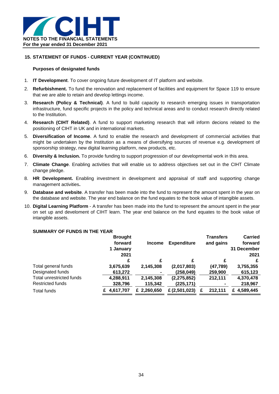

### **15. STATEMENT OF FUNDS - CURRENT YEAR (CONTINUED)**

### **Purposes of designated funds**

- 1. **IT Development**. To cover ongoing future development of IT platform and website.
- 2. **Refurbishment.** To fund the renovation and replacement of facilities and equipment for Space 119 to ensure that we are able to retain and develop lettings income.
- 3. **Research (Policy & Technical)**. A fund to build capacity to research emerging issues in transportation infrastructure, fund specific projects in the policy and technical areas and to conduct research directly related to the Institution.
- 4. **Research (CIHT Related)**. A fund to support marketing research that will inform decions related to the positioning of CIHT in UK and in international markets.
- 5. **Diversification of Income**. A fund to enable the research and development of commercial activities that might be undertaken by the Institution as a means of diversifying sources of revenue e.g. development of sponsorship strategy, new digital learning platform, new products, etc.
- 6. **Diversity & Inclusion.** To provide funding to support progression of our developmental work in this area.
- 7. **Climate Change**. Enabling activities that will enable us to address objectives set out in the CIHT Climate change pledge.
- 8. **HR Development.** Enabling investment in development and appraisal of staff and supporting change management activities**.**
- 9. **Database and website**. A transfer has been made into the fund to represent the amount spent in the year on the database and website. The year end balance on the fund equates to the book value of intangible assets.
- 10. **Digital Learning Platform** A transfer has been made into the fund to represent the amount spent in the year on set up and develoment of CIHT learn. The year end balance on the fund equates to the book value of intangible assets.

### **SUMMARY OF FUNDS IN THE YEAR**

|                          | <b>Brought</b> |               |                    | <b>Transfers</b> | <b>Carried</b> |
|--------------------------|----------------|---------------|--------------------|------------------|----------------|
|                          | forward        | <b>Income</b> | <b>Expenditure</b> | and gains        | forward        |
|                          | 1 January      |               |                    |                  | 31 December    |
|                          | 2021           |               |                    |                  | 2021           |
|                          | £              | £             | £                  | £                | £              |
| Total general funds      | 3,675,639      | 2,145,308     | (2,017,803)        | (47,789)         | 3,755,355      |
| Designated funds         | 613,272        | ۰             | (258, 049)         | 259,900          | 615,123        |
| Total unrestricted funds | 4,288,911      | 2,145,308     | (2, 275, 852)      | 212,111          | 4,370,478      |
| <b>Restricted funds</b>  | 328,796        | 115,342       | (225, 171)         |                  | 218,967        |
| <b>Total funds</b>       | 4.617.707      | £ 2,260,650   | £ (2,501,023)      | 212.111<br>F     | £ 4,589,445    |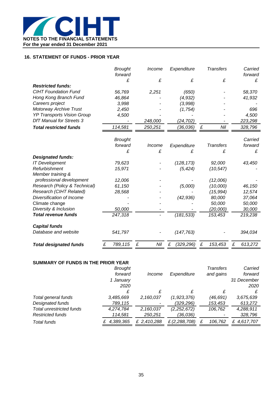

### **16. STATEMENT OF FUNDS - PRIOR YEAR**

|                                              | <b>Brought</b> | Income   | Expenditure     | <b>Transfers</b> | Carried      |
|----------------------------------------------|----------------|----------|-----------------|------------------|--------------|
|                                              | forward<br>£   | £        | £               | £                | forward      |
| <b>Restricted funds:</b>                     |                |          |                 |                  | £            |
| <b>CIHT Foundation Fund</b>                  |                |          |                 |                  |              |
|                                              | 56,769         | 2,251    | (650)           |                  | 58,370       |
| Hong Kong Branch Fund                        | 46,864         |          | (4,932)         |                  | 41,932       |
| Careers project                              | 3,998          |          | (3,998)         |                  |              |
| <b>Motorway Archive Trust</b>                | 2,450          |          | (1,754)         |                  | 696          |
| <b>YP Transports Vision Group</b>            | 4,500          |          |                 |                  | 4,500        |
| <b>DfT Manual for Streets 3</b>              |                | 248,000  | (24, 702)       |                  | 223,298      |
| <b>Total restricted funds</b>                | 114,581        | 250,251  | (36,036)        | Nil<br>£         | 328,796      |
|                                              | <b>Brought</b> |          |                 |                  | Carried      |
|                                              | forward        | Income   | Expenditure     | <b>Transfers</b> | forward      |
|                                              | £              | £        | £               | £                | £            |
| <b>Designated funds:</b>                     |                |          |                 |                  |              |
| <b>IT Development</b>                        | 79,623         |          | (128, 173)      | 92,000           | 43,450       |
| Refurbishment                                | 15,971         |          | (5, 424)        | (10, 547)        |              |
| Member training &                            |                |          |                 |                  |              |
| professional development                     | 12,006         |          |                 | (12,006)         |              |
| Research (Policy & Technical)                | 61,150         |          | (5,000)         | (10,000)         | 46,150       |
| Research (CIHT Related)                      | 28,568         |          |                 | (15, 994)        | 12,574       |
| Diversification of Income                    |                |          | (42, 936)       | 80,000           | 37,064       |
| Climate change                               |                |          |                 | 50,000           | 50,000       |
| Diversity & Inclusion                        | 50,000         |          |                 | (20,000)         | 30,000       |
| <b>Total revenue funds</b>                   | 247,318        |          | (181, 533)      | 153,453          | 219,238      |
|                                              |                |          |                 |                  |              |
| <b>Capital funds</b><br>Database and website |                |          |                 |                  |              |
|                                              | 541,797        |          | (147, 763)      |                  | 394,034      |
| <b>Total designated funds</b>                | 789,115<br>£   | £<br>Nil | (329, 296)<br>£ | £<br>153,453     | £<br>613,272 |

### **SUMMARY OF FUNDS IN THE PRIOR YEAR**

|                                 | <b>Brought</b> |             |               | <b>Transfers</b> | Carried     |
|---------------------------------|----------------|-------------|---------------|------------------|-------------|
|                                 | forward        | Income      | Expenditure   | and gains        | forward     |
|                                 | 1 Januarv      |             |               |                  | 31 December |
|                                 | 2020           |             |               |                  | 2020        |
|                                 |                |             | £             |                  |             |
| Total general funds             | 3,485,669      | 2,160,037   | (1,923,376)   | (46,691)         | 3,675,639   |
| Designated funds                | 789,115        |             | (329,296)     | 153,453          | 613,272     |
| <b>Total unrestricted funds</b> | 4,274,784      | 2,160,037   | (2,252,672)   | 106,762          | 4,288,911   |
| <b>Restricted funds</b>         | 114,581        | 250,251     | (36,036)      |                  | 328,796     |
| Total funds                     | 4,389,365      | £ 2,410,288 | £ (2,288,708) | 106,762          | £ 4,617,707 |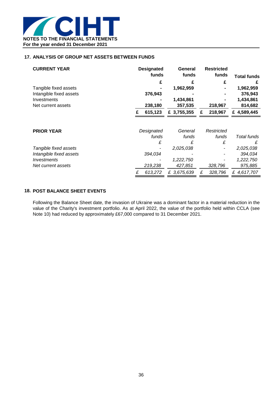

### **17. ANALYSIS OF GROUP NET ASSETS BETWEEN FUNDS**

| <b>CURRENT YEAR</b>     |   | <b>Designated</b><br>funds | General<br>funds |   | <b>Restricted</b><br>funds | <b>Total funds</b> |
|-------------------------|---|----------------------------|------------------|---|----------------------------|--------------------|
|                         |   | £                          |                  |   | £                          |                    |
| Tangible fixed assets   |   |                            | 1,962,959        |   |                            | 1,962,959          |
| Intangible fixed assets |   | 376,943                    |                  |   |                            | 376,943            |
| Investments             |   |                            | 1,434,861        |   |                            | 1,434,861          |
| Net current assets      |   | 238,180                    | 357,535          |   | 218,967                    | 814,682            |
|                         |   | 615,123                    | £ 3,755,355      | £ | 218,967                    | £ 4,589,445        |
| <b>PRIOR YEAR</b>       |   | Designated                 | General          |   | Restricted                 |                    |
|                         |   | funds                      | funds            |   | funds                      | Total funds        |
|                         |   | £                          | £                |   | £                          | £                  |
| Tangible fixed assets   |   |                            | 2,025,038        |   |                            | 2,025,038          |
| Intangible fixed assets |   | 394,034                    |                  |   |                            | 394,034            |
| Investments             |   |                            | 1,222,750        |   |                            | 1,222,750          |
| Net current assets      |   | 219,238                    | 427,851          |   | 328,796                    | 975,885            |
|                         | £ | 613,272                    | £ 3,675,639      | £ | 328,796                    | £4,617,707         |

### **18. POST BALANCE SHEET EVENTS**

Following the Balance Sheet date, the invasion of Ukraine was a dominant factor in a material reduction in the value of the Charity's investment portfolio. As at April 2022, the value of the portfolio held within CCLA (see Note 10) had reduced by approximately £67,000 compared to 31 December 2021.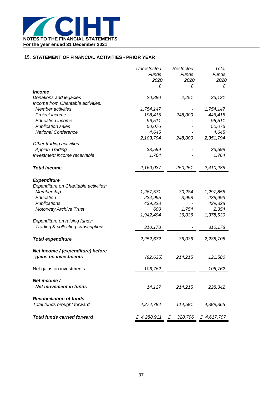

### **19. STATEMENT OF FINANCIAL ACTIVITIES - PRIOR YEAR**

|                                       | Unrestricted   | Restricted      | Total       |
|---------------------------------------|----------------|-----------------|-------------|
|                                       | Funds          | Funds           | Funds       |
|                                       | 2020           | 2020            | 2020        |
|                                       | £              | £               | £           |
| <i><b>Income</b></i>                  |                |                 |             |
| Donations and legacies                | 20,880         | 2,251           | 23,131      |
| Income from Charitable activities:    |                |                 |             |
| Member activities                     | 1,754,147      |                 | 1,754,147   |
| Project income                        | 198,415        | 248,000         | 446,415     |
| <b>Education income</b>               | 96,511         |                 | 96,511      |
| <b>Publication sales</b>              | 50,076         |                 | 50,076      |
| <b>National Conference</b>            | 4,645          |                 | 4,645       |
|                                       | 2,103,794      | 248,000         | 2,351,794   |
| Other trading activities:             |                |                 |             |
| <b>Appian Trading</b>                 | 33,599         |                 | 33,599      |
| Investment income receivable          | 1,764          |                 | 1,764       |
| <b>Total income</b>                   | 2,160,037      | 250,251         | 2,410,288   |
|                                       |                |                 |             |
| <b>Expenditure</b>                    |                |                 |             |
| Expenditure on Charitable activities: |                |                 |             |
| Membership<br>Education               | 1,267,571      | 30,284          | 1,297,855   |
|                                       | 234,995        | 3,998           | 238,993     |
| Publications                          | 439,328<br>600 |                 | 439,328     |
| <b>Motorway Archive Trust</b>         | 1,942,494      | 1,754<br>36,036 | 2,354       |
|                                       |                |                 | 1,978,530   |
| Expenditure on raising funds:         |                |                 |             |
| Trading & collecting subscriptions    | 310,178        |                 | 310,178     |
| <b>Total expenditure</b>              | 2,252,672      | 36,036          | 2,288,708   |
|                                       |                |                 |             |
| Net income / (expenditure) before     |                |                 |             |
| gains on investments                  | (92, 635)      | 214,215         | 121,580     |
| Net gains on investments              | 106,762        |                 | 106,762     |
| Net income /                          |                |                 |             |
| Net movement in funds                 | 14,127         | 214,215         | 228,342     |
| <b>Reconciliation of funds</b>        |                |                 |             |
| Total funds brought forward           | 4,274,784      | 114,581         | 4,389,365   |
| <b>Total funds carried forward</b>    | £ 4,288,911    | £<br>328,796    | £ 4,617,707 |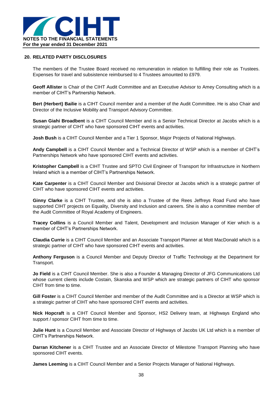

### **20. RELATED PARTY DISCLOSURES**

The members of the Trustee Board received no remuneration in relation to fulfilling their role as Trustees. Expenses for travel and subsistence reimbursed to 4 Trustees amounted to £979.

**Geoff Allister** is Chair of the CIHT Audit Committee and an Executive Advisor to Amey Consulting which is a member of CIHT's Partnership Network.

**Bert (Herbert) Bailie** is a CIHT Council member and a member of the Audit Committee. He is also Chair and Director of the Inclusive Mobility and Transport Advisory Committee.

**Susan Giahi Broadbent** is a CIHT Council Member and is a Senior Technical Director at Jacobs which is a strategic partner of CIHT who have sponsored CIHT events and activities.

**Josh Bush** is a CIHT Council Member and a Tier 1 Sponsor, Major Projects of National Highways.

**Andy Campbell** is a CIHT Council Member and a Technical Director of WSP which is a member of CIHT's Partnerships Network who have sponsored CIHT events and activities.

**Kristopher Campbell** is a CIHT Trustee and SPTO Civil Engineer of Transport for Infrastructure in Northern Ireland which is a member of CIHT's Partnerships Network.

**Kate Carpenter** is a CIHT Council Member and Divisional Director at Jacobs which is a strategic partner of CIHT who have sponsored CIHT events and activities.

**Ginny Clarke** is a CIHT Trustee, and she is also a Trustee of the Rees Jeffreys Road Fund who have supported CIHT projects on Equality, Diversity and Inclusion and careers. She is also a committee member of the Audit Committee of Royal Academy of Engineers.

**Tracey Collins** is a Council Member and Talent, Development and Inclusion Manager of Kier which is a member of CIHT's Partnerships Network.

**Claudia Currie** is a CIHT Council Member and an Associate Transport Planner at Mott MacDonald which is a strategic partner of CIHT who have sponsored CIHT events and activities.

**Anthony Ferguson** is a Council Member and Deputy Director of Traffic Technology at the Department for Transport.

**Jo Field** is a CIHT Council Member. She is also a Founder & Managing Director of JFG Communications Ltd whose current clients include Costain, Skanska and WSP which are strategic partners of CIHT who sponsor CIHT from time to time.

**Gill Foster** is a CIHT Council Member and member of the Audit Committee and is a Director at WSP which is a strategic partner of CIHT who have sponsored CIHT events and activities.

**Nick Hopcraft** is a CIHT Council Member and Sponsor, HS2 Delivery team, at Highways England who support / sponsor CIHT from time to time.

**Julie Hunt** is a Council Member and Associate Director of Highways of Jacobs UK Ltd which is a member of CIHT's Partnerships Network.

**Darran Kitchener** is a CIHT Trustee and an Associate Director of Milestone Transport Planning who have sponsored CIHT events.

**James Leeming** is a CIHT Council Member and a Senior Projects Manager of National Highways.